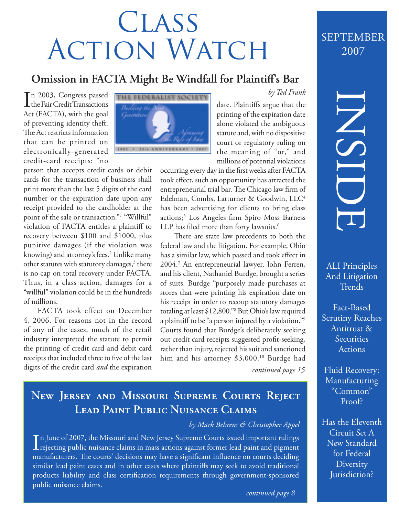# **CLASS** ACTION WATCH

### **Omission in FACTA Might Be Windfall for Plaintiff's Bar**

In 2003, Congress passed<br>the Fair Credit Transactions n 2003, Congress passed Act (FACTA), with the goal of preventing identity theft. The Act restricts information that can be printed on electronically-generated credit-card receipts: "no

person that accepts credit cards or debit cards for the transaction of business shall print more than the last 5 digits of the card number or the expiration date upon any receipt provided to the cardholder at the point of the sale or transaction."1 "Willful" violation of FACTA entitles a plaintiff to recovery between \$100 and \$1000, plus punitive damages (if the violation was knowing) and attorney's fees.<sup>2</sup> Unlike many other statutes with statutory damages,<sup>3</sup> there is no cap on total recovery under FACTA. Thus, in a class action, damages for a "willful" violation could be in the hundreds of millions.

FACTA took effect on December 4, 2006. For reasons not in the record of any of the cases, much of the retail industry interpreted the statute to permit the printing of credit card and debit card receipts that included three to five of the last digits of the credit card *and* the expiration



date. Plaintiffs argue that the printing of the expiration date alone violated the ambiguous statute and, with no dispositive court or regulatory ruling on the meaning of "or," and millions of potential violations

*by Ted Frank*

occurring every day in the first weeks after FACTA took effect, such an opportunity has attracted the entrepreneurial trial bar. The Chicago law firm of Edelman, Combs, Latturner & Goodwin, LLC4 has been advertising for clients to bring class actions;<sup>5</sup> Los Angeles firm Spiro Moss Barness LLP has filed more than forty lawsuits.<sup>6</sup>

There are state law precedents to both the federal law and the litigation. For example, Ohio has a similar law, which passed and took effect in 2004.7 An entrepreneurial lawyer, John Ferren, and his client, Nathaniel Burdge, brought a series of suits. Burdge "purposely made purchases at stores that were printing his expiration date on his receipt in order to recoup statutory damages totaling at least \$12,800."8 But Ohio's law required a plaintiff to be "a person injured by a violation."9 Courts found that Burdge's deliberately seeking out credit card receipts suggested profit-seeking, rather than injury, rejected his suit and sanctioned him and his attorney \$3,000.<sup>10</sup> Burdge had

*continued page 15*

# **New Jersey and Missouri Supreme Courts Reject Lead Paint Public Nuisance Claims**

### *by Mark Behrens & Christopher Appel*

In June of 2007, the Missouri and New Jersey Supreme Courts issued important rulings<br>rejecting public nuisance claims in mass actions against former lead paint and pigment **L** rejecting public nuisance claims in mass actions against former lead paint and pigment manufacturers. The courts' decisions may have a significant influence on courts deciding similar lead paint cases and in other cases where plaintiffs may seek to avoid traditional products liability and class certification requirements through government-sponsored public nuisance claims.

## SEPTEMBER 2007

# INSIDE

ALI Principles And Litigation **Trends** 

Fact-Based Scrutiny Reaches Antitrust & **Securities Actions** 

Fluid Recovery: Manufacturing "Common" Proof?

Has the Eleventh Circuit Set A New Standard for Federal **Diversity** Jurisdiction?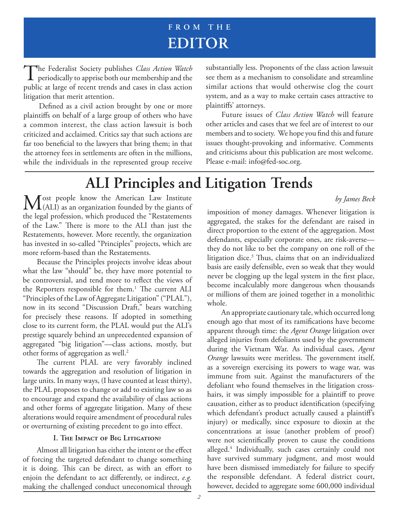# **FROM THE EDITOR**

The Federalist Society publishes *Class Action Watch*<br>periodically to apprise both our membership and the public at large of recent trends and cases in class action litigation that merit attention.

Defined as a civil action brought by one or more plaintiffs on behalf of a large group of others who have a common interest, the class action lawsuit is both criticized and acclaimed. Critics say that such actions are far too beneficial to the lawyers that bring them; in that the attorney fees in settlements are often in the millions, while the individuals in the represented group receive substantially less. Proponents of the class action lawsuit see them as a mechanism to consolidate and streamline similar actions that would otherwise clog the court system, and as a way to make certain cases attractive to plaintiffs' attorneys.

Future issues of *Class Action Watch* will feature other articles and cases that we feel are of interest to our members and to society. We hope you find this and future issues thought-provoking and informative. Comments and criticisms about this publication are most welcome. Please e-mail: info@fed-soc.org.

# **ALI Principles and Litigation Trends**

 $M<sub>(ALI)</sub>$  as an organization founded by the giants of the legal profession, which produced the "Restatements of the Law." There is more to the ALI than just the Restatements, however. More recently, the organization has invested in so-called "Principles" projects, which are more reform-based than the Restatements.

Because the Principles projects involve ideas about what the law "should" be, they have more potential to be controversial, and tend more to reflect the views of the Reporters responsible for them.<sup>1</sup> The current ALI "Principles of the Law of Aggregate Litigation" ("PLAL"), now in its second "Discussion Draft," bears watching for precisely these reasons. If adopted in something close to its current form, the PLAL would put the ALI's prestige squarely behind an unprecedented expansion of aggregated "big litigation"—class actions, mostly, but other forms of aggregation as well.<sup>2</sup>

The current PLAL are very favorably inclined towards the aggregation and resolution of litigation in large units. In many ways, (I have counted at least thirty), the PLAL proposes to change or add to existing law so as to encourage and expand the availability of class actions and other forms of aggregate litigation. Many of these alterations would require amendment of procedural rules or overturning of existing precedent to go into effect.

### **I. The Impact of Big Litigation?**

Almost all litigation has either the intent or the effect of forcing the targeted defendant to change something it is doing. This can be direct, as with an effort to enjoin the defendant to act differently, or indirect, *e.g.* making the challenged conduct uneconomical through

*by James Beck*

imposition of money damages. Whenever litigation is aggregated, the stakes for the defendant are raised in direct proportion to the extent of the aggregation. Most defendants, especially corporate ones, are risk-averse they do not like to bet the company on one roll of the litigation dice.<sup>3</sup> Thus, claims that on an individualized basis are easily defensible, even so weak that they would never be clogging up the legal system in the first place, become incalculably more dangerous when thousands or millions of them are joined together in a monolithic whole.

An appropriate cautionary tale, which occurred long enough ago that most of its ramifications have become apparent through time: the *Agent Orange* litigation over alleged injuries from defoliants used by the government during the Vietnam War. As individual cases, *Agent Orange* lawsuits were meritless. The government itself, as a sovereign exercising its powers to wage war, was immune from suit. Against the manufacturers of the defoliant who found themselves in the litigation crosshairs, it was simply impossible for a plaintiff to prove causation, either as to product identification (specifying which defendant's product actually caused a plaintiff's injury) or medically, since exposure to dioxin at the concentrations at issue (another problem of proof) were not scientifically proven to cause the conditions alleged.4 Individually, such cases certainly could not have survived summary judgment, and most would have been dismissed immediately for failure to specify the responsible defendant. A federal district court, however, decided to aggregate some 600,000 individual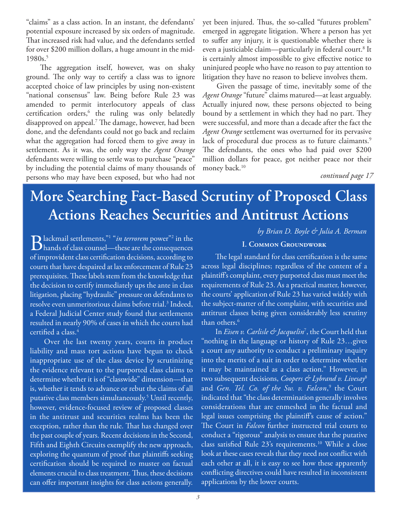"claims" as a class action. In an instant, the defendants' potential exposure increased by six orders of magnitude. That increased risk had value, and the defendants settled for over \$200 million dollars, a huge amount in the mid-1980s.<sup>5</sup>

The aggregation itself, however, was on shaky ground. The only way to certify a class was to ignore accepted choice of law principles by using non-existent "national consensus" law. Being before Rule 23 was amended to permit interlocutory appeals of class certification orders,<sup>6</sup> the ruling was only belatedly disapproved on appeal.<sup>7</sup> The damage, however, had been done, and the defendants could not go back and reclaim what the aggregation had forced them to give away in settlement. As it was, the only way the *Agent Orange* defendants were willing to settle was to purchase "peace" by including the potential claims of many thousands of persons who may have been exposed, but who had not

yet been injured. Thus, the so-called "futures problem" emerged in aggregate litigation. Where a person has yet to suffer any injury, it is questionable whether there is even a justiciable claim—particularly in federal court.<sup>8</sup> It is certainly almost impossible to give effective notice to uninjured people who have no reason to pay attention to litigation they have no reason to believe involves them.

Given the passage of time, inevitably some of the *Agent Orange* "future" claims matured—at least arguably. Actually injured now, these persons objected to being bound by a settlement in which they had no part. They were successful, and more than a decade after the fact the *Agent Orange* settlement was overturned for its pervasive lack of procedural due process as to future claimants.<sup>9</sup> The defendants, the ones who had paid over \$200 million dollars for peace, got neither peace nor their money back.<sup>10</sup>

*continued page 17*

# **More Searching Fact-Based Scrutiny of Proposed Class Actions Reaches Securities and Antitrust Actions**

Blackmail settlements,"<sup>1</sup>"*in terrorem* power"<sup>2</sup> in the<br>
blands of class counsel—these are the consequences  $\Box$  hands of class counsel—these are the consequences of improvident class certification decisions, according to courts that have despaired at lax enforcement of Rule 23 prerequisites. These labels stem from the knowledge that the decision to certify immediately ups the ante in class litigation, placing "hydraulic" pressure on defendants to resolve even unmeritorious claims before trial.<sup>3</sup> Indeed, a Federal Judicial Center study found that settlements resulted in nearly 90% of cases in which the courts had certified a class. $4$ 

Over the last twenty years, courts in product liability and mass tort actions have begun to check inappropriate use of the class device by scrutinizing the evidence relevant to the purported class claims to determine whether it is of "classwide" dimension—that is, whether it tends to advance or rebut the claims of all putative class members simultaneously.5 Until recently, however, evidence-focused review of proposed classes in the antitrust and securities realms has been the exception, rather than the rule. That has changed over the past couple of years. Recent decisions in the Second, Fifth and Eighth Circuits exemplify the new approach, exploring the quantum of proof that plaintiffs seeking certification should be required to muster on factual elements crucial to class treatment. Thus, these decisions can offer important insights for class actions generally. *by Brian D. Boyle & Julia A. Berman*

### **I. Common Groundwork**

The legal standard for class certification is the same across legal disciplines; regardless of the content of a plaintiff's complaint, every purported class must meet the requirements of Rule 23. As a practical matter, however, the courts' application of Rule 23 has varied widely with the subject-matter of the complaint, with securities and antitrust classes being given considerably less scrutiny than others.<sup>6</sup>

In *Eisen v. Carlisle & Jacquelin*<sup>7</sup> , the Court held that "nothing in the language or history of Rule 23…gives a court any authority to conduct a preliminary inquiry into the merits of a suit in order to determine whether it may be maintained as a class action." However, in two subsequent decisions, *Coopers & Lybrand v. Livesay*<sup>8</sup> and *Gen. Tel. Co. of the Sw. v. Falcon*, 9 the Court indicated that "the class determination generally involves considerations that are enmeshed in the factual and legal issues comprising the plaintiff's cause of action." The Court in *Falcon* further instructed trial courts to conduct a "rigorous" analysis to ensure that the putative class satisfied Rule 23's requirements.<sup>10</sup> While a close look at these cases reveals that they need not conflict with each other at all, it is easy to see how these apparently conflicting directives could have resulted in inconsistent applications by the lower courts.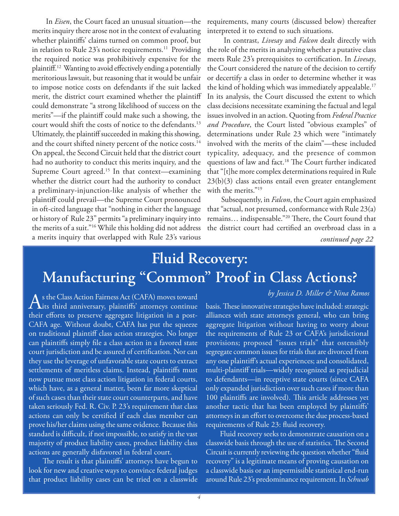In *Eisen*, the Court faced an unusual situation—the merits inquiry there arose not in the context of evaluating whether plaintiffs' claims turned on common proof, but in relation to Rule  $23$ 's notice requirements.<sup>11</sup> Providing the required notice was prohibitively expensive for the plaintiff.<sup>12</sup> Wanting to avoid effectively ending a potentially meritorious lawsuit, but reasoning that it would be unfair to impose notice costs on defendants if the suit lacked merit, the district court examined whether the plaintiff could demonstrate "a strong likelihood of success on the merits"—if the plaintiff could make such a showing, the court would shift the costs of notice to the defendants.13 Ultimately, the plaintiff succeeded in making this showing, and the court shifted ninety percent of the notice costs.<sup>14</sup> On appeal, the Second Circuit held that the district court had no authority to conduct this merits inquiry, and the Supreme Court agreed.<sup>15</sup> In that context—examining whether the district court had the authority to conduct a preliminary-injunction-like analysis of whether the plaintiff could prevail—the Supreme Court pronounced in oft-cited language that "nothing in either the language or history of Rule 23" permits "a preliminary inquiry into the merits of a suit."16 While this holding did not address a merits inquiry that overlapped with Rule 23's various

requirements, many courts (discussed below) thereafter interpreted it to extend to such situations.

 In contrast, *Livesay* and *Falcon* dealt directly with the role of the merits in analyzing whether a putative class meets Rule 23's prerequisites to certification. In *Livesay*, the Court considered the nature of the decision to certify or decertify a class in order to determine whether it was the kind of holding which was immediately appealable.<sup>17</sup> In its analysis, the Court discussed the extent to which class decisions necessitate examining the factual and legal issues involved in an action. Quoting from *Federal Practice and Procedure*, the Court listed "obvious examples" of determinations under Rule 23 which were "intimately involved with the merits of the claim"—these included typicality, adequacy, and the presence of common questions of law and fact.<sup>18</sup> The Court further indicated that "[t]he more complex determinations required in Rule 23(b)(3) class actions entail even greater entanglement with the merits."<sup>19</sup>

Subsequently, in *Falcon*, the Court again emphasized that "actual, not presumed, conformance with Rule 23(a) remains... indispensable."<sup>20</sup> There, the Court found that the district court had certified an overbroad class in a

*continued page 22*

# **Fluid Recovery: Manufacturing "Common" Proof in Class Actions?**

As the Class Action Fairness Act (CAFA) moves toward<br>dits third anniversary, plaintiffs' attorneys continue their efforts to preserve aggregate litigation in a post-CAFA age. Without doubt, CAFA has put the squeeze on traditional plaintiff class action strategies. No longer can plaintiffs simply file a class action in a favored state court jurisdiction and be assured of certification. Nor can they use the leverage of unfavorable state courts to extract settlements of meritless claims. Instead, plaintiffs must now pursue most class action litigation in federal courts, which have, as a general matter, been far more skeptical of such cases than their state court counterparts, and have taken seriously Fed. R. Civ. P. 23's requirement that class actions can only be certified if each class member can prove his/her claims using the same evidence. Because this standard is difficult, if not impossible, to satisfy in the vast majority of product liability cases, product liability class actions are generally disfavored in federal court.

The result is that plaintiffs' attorneys have begun to look for new and creative ways to convince federal judges that product liability cases can be tried on a classwide

### *by Jessica D. Miller & Nina Ramos*

basis. These innovative strategies have included: strategic alliances with state attorneys general, who can bring aggregate litigation without having to worry about the requirements of Rule 23 or CAFA's jurisdictional provisions; proposed "issues trials" that ostensibly segregate common issues for trials that are divorced from any one plaintiff's actual experiences; and consolidated, multi-plaintiff trials—widely recognized as prejudicial to defendants—in receptive state courts (since CAFA only expanded jurisdiction over such cases if more than 100 plaintiffs are involved). This article addresses yet another tactic that has been employed by plaintiffs' attorneys in an effort to overcome the due process-based requirements of Rule 23: fluid recovery.

Fluid recovery seeks to demonstrate causation on a classwide basis through the use of statistics. The Second Circuit is currently reviewing the question whether "fluid recovery" is a legitimate means of proving causation on a classwide basis or an impermissible statistical end-run around Rule 23's predominance requirement. In *Schwab*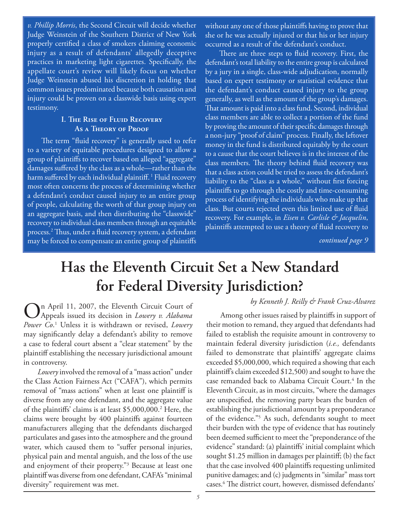*v. Phillip Morris*, the Second Circuit will decide whether Judge Weinstein of the Southern District of New York properly certified a class of smokers claiming economic injury as a result of defendants' allegedly deceptive practices in marketing light cigarettes. Specifically, the appellate court's review will likely focus on whether Judge Weinstein abused his discretion in holding that common issues predominated because both causation and injury could be proven on a classwide basis using expert testimony.

### **I. The Rise of Fluid Recovery As a Theory of Proof**

The term "fluid recovery" is generally used to refer to a variety of equitable procedures designed to allow a group of plaintiffs to recover based on alleged "aggregate" damages suffered by the class as a whole-rather than the harm suffered by each individual plaintiff.<sup>1</sup> Fluid recovery most often concerns the process of determining whether a defendant's conduct caused injury to an entire group of people, calculating the worth of that group injury on an aggregate basis, and then distributing the "classwide" recovery to individual class members through an equitable process.<sup>2</sup> Thus, under a fluid recovery system, a defendant may be forced to compensate an entire group of plaintiffs

without any one of those plaintiffs having to prove that she or he was actually injured or that his or her injury occurred as a result of the defendant's conduct.

There are three steps to fluid recovery. First, the defendant's total liability to the entire group is calculated by a jury in a single, class-wide adjudication, normally based on expert testimony or statistical evidence that the defendant's conduct caused injury to the group generally, as well as the amount of the group's damages. That amount is paid into a class fund. Second, individual class members are able to collect a portion of the fund by proving the amount of their specific damages through a non-jury "proof of claim" process. Finally, the leftover money in the fund is distributed equitably by the court to a cause that the court believes is in the interest of the class members. The theory behind fluid recovery was that a class action could be tried to assess the defendant's liability to the "class as a whole," without first forcing plaintiffs to go through the costly and time-consuming process of identifying the individuals who make up that class. But courts rejected even this limited use of fluid recovery. For example, in *Eisen v. Carlisle & Jacquelin*, plaintiffs attempted to use a theory of fluid recovery to

*continued page 9*

# **Has the Eleventh Circuit Set a New Standard for Federal Diversity Jurisdiction?**

### *by Kenneth J. Reilly & Frank Cruz-Alvarez*

On April 11, 2007, the Eleventh Circuit Court of Appeals issued its decision in *Lowery v. Alabama Power Co*. 1 Unless it is withdrawn or revised, *Lowery*  may significantly delay a defendant's ability to remove a case to federal court absent a "clear statement" by the plaintiff establishing the necessary jurisdictional amount in controversy.

*Lowery* involved the removal of a "mass action" under the Class Action Fairness Act ("CAFA"), which permits removal of "mass actions" when at least one plaintiff is diverse from any one defendant, and the aggregate value of the plaintiffs' claims is at least \$5,000,000.<sup>2</sup> Here, the claims were brought by 400 plaintiffs against fourteen manufacturers alleging that the defendants discharged particulates and gases into the atmosphere and the ground water, which caused them to "suffer personal injuries, physical pain and mental anguish, and the loss of the use and enjoyment of their property."3 Because at least one plaintiff was diverse from one defendant, CAFA's "minimal diversity" requirement was met.

Among other issues raised by plaintiffs in support of their motion to remand, they argued that defendants had failed to establish the requisite amount in controversy to maintain federal diversity jurisdiction (*i.e.,* defendants failed to demonstrate that plaintiffs' aggregate claims exceeded \$5,000,000, which required a showing that each plaintiff's claim exceeded  $$12,500$ ) and sought to have the case remanded back to Alabama Circuit Court.<sup>4</sup> In the Eleventh Circuit, as in most circuits, "where the damages are unspecified, the removing party bears the burden of establishing the jurisdictional amount by a preponderance of the evidence."5 As such, defendants sought to meet their burden with the type of evidence that has routinely been deemed sufficient to meet the "preponderance of the evidence" standard: (a) plaintiffs' initial complaint which sought  $$1.25$  million in damages per plaintiff; (b) the fact that the case involved 400 plaintiffs requesting unlimited punitive damages; and (c) judgments in "similar" mass tort cases.<sup>6</sup> The district court, however, dismissed defendants'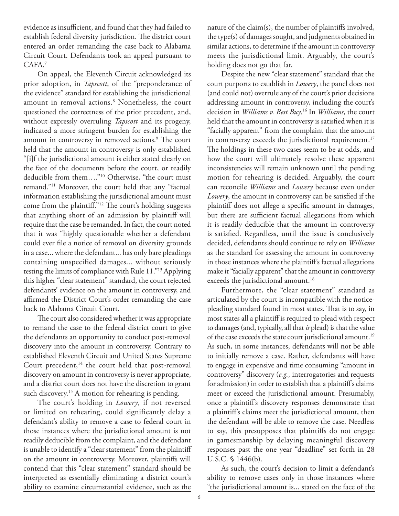evidence as insufficient, and found that they had failed to establish federal diversity jurisdiction. The district court entered an order remanding the case back to Alabama Circuit Court. Defendants took an appeal pursuant to CAFA.7

On appeal, the Eleventh Circuit acknowledged its prior adoption, in *Tapscott*, of the "preponderance of the evidence" standard for establishing the jurisdictional amount in removal actions.8 Nonetheless, the court questioned the correctness of the prior precedent, and, without expressly overruling *Tapscott* and its progeny, indicated a more stringent burden for establishing the amount in controversy in removed actions.<sup>9</sup> The court held that the amount in controversy is only established "[i]f the jurisdictional amount is either stated clearly on the face of the documents before the court, or readily deducible from them…."10 Otherwise, "the court must remand."11 Moreover, the court held that any "factual information establishing the jurisdictional amount must come from the plaintiff."<sup>12</sup> The court's holding suggests that anything short of an admission by plaintiff will require that the case be remanded. In fact, the court noted that it was "highly questionable whether a defendant could ever file a notice of removal on diversity grounds in a case... where the defendant... has only bare pleadings containing unspecified damages... without seriously testing the limits of compliance with Rule 11."13 Applying this higher "clear statement" standard, the court rejected defendants' evidence on the amount in controversy, and affirmed the District Court's order remanding the case back to Alabama Circuit Court.

The court also considered whether it was appropriate to remand the case to the federal district court to give the defendants an opportunity to conduct post-removal discovery into the amount in controversy. Contrary to established Eleventh Circuit and United States Supreme Court precedent,<sup>14</sup> the court held that post-removal discovery on amount in controversy is never appropriate, and a district court does not have the discretion to grant such discovery.<sup>15</sup> A motion for rehearing is pending.

The court's holding in *Lowery*, if not reversed or limited on rehearing, could significantly delay a defendant's ability to remove a case to federal court in those instances where the jurisdictional amount is not readily deducible from the complaint, and the defendant is unable to identify a "clear statement" from the plaintiff on the amount in controversy. Moreover, plaintiffs will contend that this "clear statement" standard should be interpreted as essentially eliminating a district court's ability to examine circumstantial evidence, such as the

nature of the claim(s), the number of plaintiffs involved, the type(s) of damages sought, and judgments obtained in similar actions, to determine if the amount in controversy meets the jurisdictional limit. Arguably, the court's holding does not go that far.

Despite the new "clear statement" standard that the court purports to establish in *Lowery*, the panel does not (and could not) overrule any of the court's prior decisions addressing amount in controversy, including the court's decision in *Williams v. Best Buy*. 16 In *Williams*, the court held that the amount in controversy is satisfied when it is "facially apparent" from the complaint that the amount in controversy exceeds the jurisdictional requirement.<sup>17</sup> The holdings in these two cases seem to be at odds, and how the court will ultimately resolve these apparent inconsistencies will remain unknown until the pending motion for rehearing is decided. Arguably, the court can reconcile *Williams* and *Lowery* because even under Lowery, the amount in controversy can be satisfied if the plaintiff does not allege a specific amount in damages, but there are sufficient factual allegations from which it is readily deducible that the amount in controversy is satisfied. Regardless, until the issue is conclusively decided, defendants should continue to rely on *Williams* as the standard for assessing the amount in controversy in those instances where the plaintiff's factual allegations make it "facially apparent" that the amount in controversy exceeds the jurisdictional amount.<sup>18</sup>

Furthermore, the "clear statement" standard as articulated by the court is incompatible with the noticepleading standard found in most states. That is to say, in most states all a plaintiff is required to plead with respect to damages (and, typically, all that *is* plead) is that the value of the case exceeds the state court jurisdictional amount.<sup>19</sup> As such, in some instances, defendants will not be able to initially remove a case. Rather, defendants will have to engage in expensive and time consuming "amount in controversy" discovery (*e.g.,* interrogatories and requests for admission) in order to establish that a plaintiff's claims meet or exceed the jurisdictional amount. Presumably, once a plaintiff's discovery responses demonstrate that a plaintiff's claims meet the jurisdictional amount, then the defendant will be able to remove the case. Needless to say, this presupposes that plaintiffs do not engage in gamesmanship by delaying meaningful discovery responses past the one year "deadline" set forth in 28 U.S.C. § 1446(b).

As such, the court's decision to limit a defendant's ability to remove cases only in those instances where "the jurisdictional amount is... stated on the face of the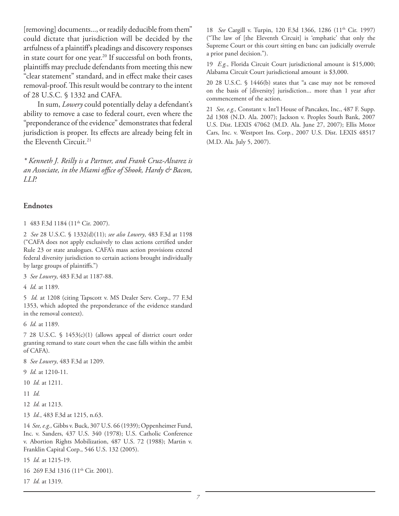[removing] documents..., or readily deducible from them" could dictate that jurisdiction will be decided by the artfulness of a plaintiff's pleadings and discovery responses in state court for one year.<sup>20</sup> If successful on both fronts, plaintiffs may preclude defendants from meeting this new "clear statement" standard, and in effect make their cases removal-proof. This result would be contrary to the intent of 28 U.S.C. § 1332 and CAFA.

In sum, *Lowery* could potentially delay a defendant's ability to remove a case to federal court, even where the "preponderance of the evidence" demonstrates that federal jurisdiction is proper. Its effects are already being felt in the Eleventh Circuit.<sup>21</sup>

*\* Kenneth J. Reilly is a Partner, and Frank Cruz-Alvarez is*  an Associate, in the Miami office of Shook, Hardy & Bacon, *LLP.*

### **Endnotes**

1 483 F.3d 1184 (11th Cir. 2007).

2 *See* 28 U.S.C. § 1332(d)(11); *see also Lowery*, 483 F.3d at 1198 ("CAFA does not apply exclusively to class actions certified under Rule 23 or state analogues. CAFA's mass action provisions extend federal diversity jurisdiction to certain actions brought individually by large groups of plaintiffs.")

3 *See Lowery*, 483 F.3d at 1187-88.

4 *Id.* at 1189.

5 *Id.* at 1208 (citing Tapscott v. MS Dealer Serv. Corp., 77 F.3d 1353, which adopted the preponderance of the evidence standard in the removal context).

6 *Id.* at 1189.

7 28 U.S.C. § 1453(c)(1) (allows appeal of district court order granting remand to state court when the case falls within the ambit of CAFA).

8 *See Lowery*, 483 F.3d at 1209.

- 9 *Id.* at 1210-11.
- 10 *Id.* at 1211.
- 11 *Id.*
- 12 *Id.* at 1213.
- 13 *Id.*, 483 F.3d at 1215, n.63.

14 *See, e.g.,* Gibbs v. Buck, 307 U.S. 66 (1939); Oppenheimer Fund, Inc. v. Sanders, 437 U.S. 340 (1978); U.S. Catholic Conference v. Abortion Rights Mobilization, 487 U.S. 72 (1988); Martin v. Franklin Capital Corp., 546 U.S. 132 (2005).

15 *Id.* at 1215-19.

16 269 F.3d 1316 (11<sup>th</sup> Cir. 2001).

17 *Id.* at 1319.

18 *See* Cargill v. Turpin, 120 F.3d 1366, 1286 (11<sup>th</sup> Cir. 1997) ("The law of [the Eleventh Circuit] is 'emphatic' that only the Supreme Court or this court sitting en banc can judicially overrule a prior panel decision.").

19 *E.g.*, Florida Circuit Court jurisdictional amount is \$15,000; Alabama Circuit Court jurisdictional amount is \$3,000.

20 28 U.S.C. § 1446(b) states that "a case may not be removed on the basis of [diversity] jurisdiction... more than 1 year after commencement of the action.

21 *See, e.g.,* Constant v. Int'l House of Pancakes, Inc., 487 F. Supp. 2d 1308 (N.D. Ala. 2007); Jackson v. Peoples South Bank, 2007 U.S. Dist. LEXIS 47062 (M.D. Ala. June 27, 2007); Ellis Motor Cars, Inc. v. Westport Ins. Corp*.*, 2007 U.S. Dist. LEXIS 48517 (M.D. Ala. July 5, 2007).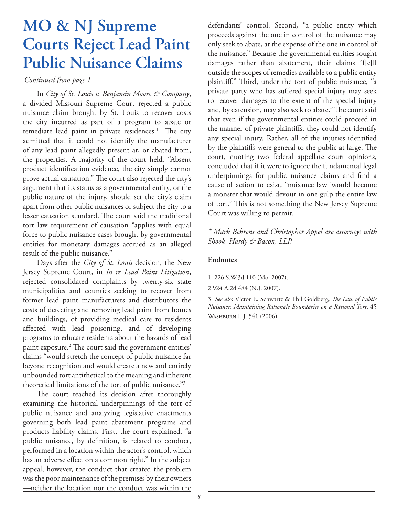# **MO & NJ Supreme Courts Reject Lead Paint Public Nuisance Claims**

*Continued from page 1*

In *City of St. Louis v. Benjamin Moore & Company*, a divided Missouri Supreme Court rejected a public nuisance claim brought by St. Louis to recover costs the city incurred as part of a program to abate or remediate lead paint in private residences.<sup>1</sup> The city admitted that it could not identify the manufacturer of any lead paint allegedly present at, or abated from, the properties. A majority of the court held, "Absent product identification evidence, the city simply cannot prove actual causation." The court also rejected the city's argument that its status as a governmental entity, or the public nature of the injury, should set the city's claim apart from other public nuisances or subject the city to a lesser causation standard. The court said the traditional tort law requirement of causation "applies with equal force to public nuisance cases brought by governmental entities for monetary damages accrued as an alleged result of the public nuisance."

Days after the *City of St. Louis* decision, the New Jersey Supreme Court, in *In re Lead Paint Litigation*, rejected consolidated complaints by twenty-six state municipalities and counties seeking to recover from former lead paint manufacturers and distributors the costs of detecting and removing lead paint from homes and buildings, of providing medical care to residents affected with lead poisoning, and of developing programs to educate residents about the hazards of lead paint exposure.<sup>2</sup> The court said the government entities' claims "would stretch the concept of public nuisance far beyond recognition and would create a new and entirely unbounded tort antithetical to the meaning and inherent theoretical limitations of the tort of public nuisance."3

The court reached its decision after thoroughly examining the historical underpinnings of the tort of public nuisance and analyzing legislative enactments governing both lead paint abatement programs and products liability claims. First, the court explained, "a public nuisance, by definition, is related to conduct, performed in a location within the actor's control, which has an adverse effect on a common right." In the subject appeal, however, the conduct that created the problem was the poor maintenance of the premises by their owners —neither the location nor the conduct was within the

defendants' control. Second, "a public entity which proceeds against the one in control of the nuisance may only seek to abate, at the expense of the one in control of the nuisance." Because the governmental entities sought damages rather than abatement, their claims "f[e]ll outside the scopes of remedies available **to** a public entity plaintiff." Third, under the tort of public nuisance, "a private party who has suffered special injury may seek to recover damages to the extent of the special injury and, by extension, may also seek to abate." The court said that even if the governmental entities could proceed in the manner of private plaintiffs, they could not identify any special injury. Rather, all of the injuries identified by the plaintiffs were general to the public at large. The court, quoting two federal appellate court opinions, concluded that if it were to ignore the fundamental legal underpinnings for public nuisance claims and find a cause of action to exist, "nuisance law 'would become a monster that would devour in one gulp the entire law of tort." This is not something the New Jersey Supreme Court was willing to permit.

*\* Mark Behrens and Christopher Appel are attorneys with Shook, Hardy & Bacon, LLP.*

### **Endnotes**

1 226 S.W.3d 110 (Mo. 2007).

2 924 A.2d 484 (N.J. 2007).

3 See also Victor E. Schwartz & Phil Goldberg, *The Law of Public Nuisance: Maintaining Rationale Boundaries on a Rational Tort*, 45 Washburn L.J. 541 (2006).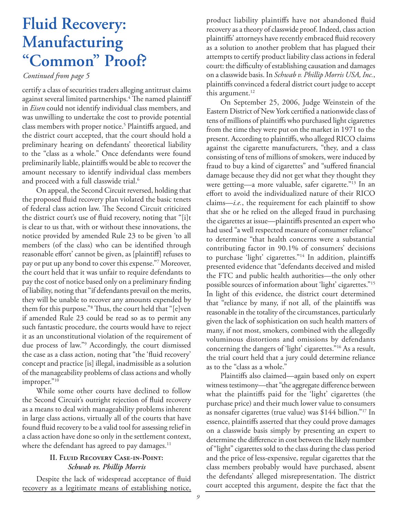# **Fluid Recovery: Manufacturing "Common" Proof?**

### *Continued from page 5*

certify a class of securities traders alleging antitrust claims against several limited partnerships.<sup>4</sup> The named plaintiff in *Eisen* could not identify individual class members, and was unwilling to undertake the cost to provide potential class members with proper notice.<sup>5</sup> Plaintiffs argued, and the district court accepted, that the court should hold a preliminary hearing on defendants' theoretical liability to the "class as a whole." Once defendants were found preliminarily liable, plaintiffs would be able to recover the amount necessary to identify individual class members and proceed with a full classwide trial.<sup>6</sup>

On appeal, the Second Circuit reversed, holding that the proposed fluid recovery plan violated the basic tenets of federal class action law. The Second Circuit criticized the district court's use of fluid recovery, noting that "[i]t is clear to us that, with or without these innovations, the notice provided by amended Rule 23 to be given 'to all members (of the class) who can be identified through reasonable effort' cannot be given, as [plaintiff] refuses to pay or put up any bond to cover this expense."7 Moreover, the court held that it was unfair to require defendants to pay the cost of notice based only on a preliminary finding of liability, noting that "if defendants prevail on the merits, they will be unable to recover any amounts expended by them for this purpose."<sup>8</sup> Thus, the court held that "[e]ven if amended Rule 23 could be read so as to permit any such fantastic procedure, the courts would have to reject it as an unconstitutional violation of the requirement of due process of law."9 Accordingly, the court dismissed the case as a class action, noting that "the 'fluid recovery' concept and practice [is] illegal, inadmissible as a solution of the manageability problems of class actions and wholly improper."<sup>10</sup>

While some other courts have declined to follow the Second Circuit's outright rejection of fluid recovery as a means to deal with manageability problems inherent in large class actions, virtually all of the courts that have found fluid recovery to be a valid tool for assessing relief in a class action have done so only in the settlement context, where the defendant has agreed to pay damages. $11$ 

### **II. Fluid Recovery Case-in-Point:**  *Schwab vs. Phillip Morris*

Despite the lack of widespread acceptance of fluid recovery as a legitimate means of establishing notice,

product liability plaintiffs have not abandoned fluid recovery as a theory of classwide proof. Indeed, class action plaintiffs' attorneys have recently embraced fluid recovery as a solution to another problem that has plagued their attempts to certify product liability class actions in federal court: the difficulty of establishing causation and damages on a classwide basis. In *Schwab v. Phillip Morris USA, Inc.*, plaintiffs convinced a federal district court judge to accept this argument.<sup>12</sup>

On September 25, 2006, Judge Weinstein of the Eastern District of New York certified a nationwide class of tens of millions of plaintiffs who purchased light cigarettes from the time they were put on the market in 1971 to the present. According to plaintiffs, who alleged RICO claims against the cigarette manufacturers, "they, and a class consisting of tens of millions of smokers, were induced by fraud to buy a kind of cigarettes" and "suffered financial damage because they did not get what they thought they were getting—a more valuable, safer cigarette."13 In an effort to avoid the individualized nature of their RICO claims—*i.e.*, the requirement for each plaintiff to show that she or he relied on the alleged fraud in purchasing the cigarettes at issue-plaintiffs presented an expert who had used "a well respected measure of consumer reliance" to determine "that health concerns were a substantial contributing factor in 90.1% of consumers' decisions to purchase 'light' cigarettes."<sup>14</sup> In addition, plaintiffs presented evidence that "defendants deceived and misled the FTC and public health authorities—the only other possible sources of information about 'light' cigarettes."15 In light of this evidence, the district court determined that "reliance by many, if not all, of the plaintiffs was reasonable in the totality of the circumstances, particularly given the lack of sophistication on such health matters of many, if not most, smokers, combined with the allegedly voluminous distortions and omissions by defendants concerning the dangers of 'light' cigarettes."16 As a result, the trial court held that a jury could determine reliance as to the "class as a whole."

Plaintiffs also claimed—again based only on expert witness testimony—that "the aggregate difference between what the plaintiffs paid for the 'light' cigarettes (the purchase price) and their much lower value to consumers as nonsafer cigarettes (true value) was \$144 billion."17 In essence, plaintiffs asserted that they could prove damages on a classwide basis simply by presenting an expert to determine the difference in cost between the likely number of "light" cigarettes sold to the class during the class period and the price of less-expensive, regular cigarettes that the class members probably would have purchased, absent the defendants' alleged misrepresentation. The district court accepted this argument, despite the fact that the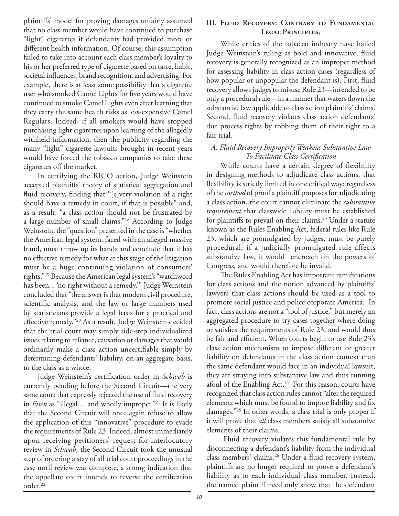plaintiffs' model for proving damages unfairly assumed that no class member would have continued to purchase "light" cigarettes if defendants had provided more or different health information. Of course, this assumption failed to take into account each class member's loyalty to his or her preferred type of cigarette based on taste, habit, societal influences, brand recognition, and advertising. For example, there is at least some possibility that a cigarette user who smoked Camel Lights for five years would have continued to smoke Camel Lights even after learning that they carry the same health risks as less-expensive Camel Regulars. Indeed, if all smokers would have stopped purchasing light cigarettes upon learning of the allegedly withheld information, then the publicity regarding the many "light" cigarette lawsuits brought in recent years would have forced the tobacco companies to take these cigarettes off the market.

In certifying the RICO action, Judge Weinstein accepted plaintiffs' theory of statistical aggregation and fluid recovery, finding that "[e]very violation of a right should have a remedy in court, if that is possible" and, as a result, "a class action should not be frustrated by a large number of small claims."18 According to Judge Weinstein, the "question" presented in the case is "whether the American legal system, faced with an alleged massive fraud, must throw up its hands and conclude that it has no effective remedy for what at this stage of the litigation must be a huge continuing violation of consumers' rights."19 Because the American legal system's "watchword has been... 'no right without a remedy,'" Judge Weinstein concluded that "the answer is that modern civil procedure, scientific analysis, and the law or large numbers used by statisticians provide a legal basis for a practical and effective remedy."<sup>20</sup> As a result, Judge Weinstein decided that the trial court may simply side-step individualized issues relating to reliance, causation or damages that would ordinarily make a class action uncertifiable simply by determining defendants' liability, on an aggregate basis, to the class as a whole.

Judge Weinstein's certification order in *Schwab* is currently pending before the Second Circuit—the very same court that expressly rejected the use of fluid recovery in *Eisen* as "illegal… and wholly improper."21 It is likely that the Second Circuit will once again refuse to allow the application of this "innovative" procedure to evade the requirements of Rule 23. Indeed, almost immediately upon receiving petitioners' request for interlocutory review in *Schwab*, the Second Circuit took the unusual step of ordering a stay of all trial court proceedings in the case until review was complete, a strong indication that the appellate court intends to reverse the certification order.<sup>22</sup>

### **III. Fluid Recovery: Contrary to Fundamental Legal Principles?**

While critics of the tobacco industry have hailed Judge Weinstein's ruling as bold and innovative, fluid recovery is generally recognized as an improper method for assessing liability in class action cases (regardless of how popular or unpopular the defendant is). First, fluid recovery allows judges to misuse Rule 23—intended to be only a procedural rule—in a manner that waters down the substantive law applicable to class action plaintiffs' claims. Second, fluid recovery violates class action defendants' due process rights by robbing them of their right to a fair trial.

### *A. Fluid Recovery Improperly Weakens Substantive Law To Facilitate Class Certifi cation*

While courts have a certain degree of flexibility in designing methods to adjudicate class actions, that flexibility is strictly limited in one critical way: regardless of the *method* of proof a plaintiff proposes for adjudicating a class action, the court cannot eliminate the *substantive requirement* that classwide liability must be established for plaintiffs to prevail on their claims.<sup>23</sup> Under a statute known as the Rules Enabling Act, federal rules like Rule 23, which are promulgated by judges, must be purely procedural; if a judicially promulgated rule affects substantive law, it would encroach on the powers of Congress, and would therefore be invalid.

The Rules Enabling Act has important ramifications for class actions and the notion advanced by plaintiffs' lawyers that class actions should be used as a tool to promote social justice and police corporate America. In fact, class actions are not a "tool of justice," but merely an aggregated procedure to try cases together where doing so satisfies the requirements of Rule 23, and would thus be fair and efficient. When courts begin to use Rule 23's class action mechanism to impose different or greater liability on defendants in the class action context than the same defendant would face in an individual lawsuit, they are straying into substantive law and thus running afoul of the Enabling Act.<sup>24</sup> For this reason, courts have recognized that class action rules cannot "alter the required elements which must be found to impose liability and fix damages."25 In other words, a class trial is only proper if it will prove that *all* class members satisfy all substantive elements of their claims.

 Fluid recovery violates this fundamental rule by disconnecting a defendant's liability from the individual class members' claims.<sup>26</sup> Under a fluid recovery system, plaintiffs are no longer required to prove a defendant's liability as to each individual class member. Instead, the named plaintiff need only show that the defendant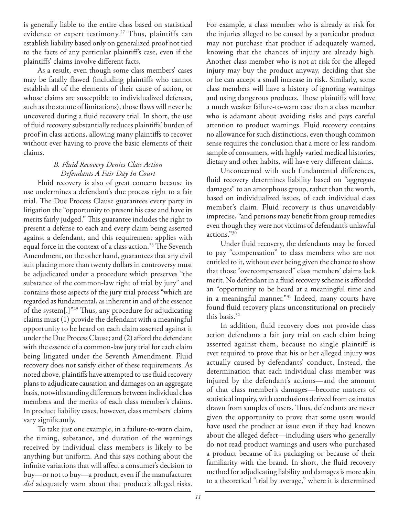is generally liable to the entire class based on statistical evidence or expert testimony.<sup>27</sup> Thus, plaintiffs can establish liability based only on generalized proof not tied to the facts of any particular plaintiff's case, even if the plaintiffs' claims involve different facts.

As a result, even though some class members' cases may be fatally flawed (including plaintiffs who cannot establish all of the elements of their cause of action, or whose claims are susceptible to individualized defenses, such as the statute of limitations), those flaws will never be uncovered during a fluid recovery trial. In short, the use of fluid recovery substantially reduces plaintiffs' burden of proof in class actions, allowing many plaintiffs to recover without ever having to prove the basic elements of their claims.

### *B. Fluid Recovery Denies Class Action Defendants A Fair Day In Court*

Fluid recovery is also of great concern because its use undermines a defendant's due process right to a fair trial. The Due Process Clause guarantees every party in litigation the "opportunity to present his case and have its merits fairly judged." This guarantee includes the right to present a defense to each and every claim being asserted against a defendant, and this requirement applies with equal force in the context of a class action.<sup>28</sup> The Seventh Amendment, on the other hand, guarantees that any civil suit placing more than twenty dollars in controversy must be adjudicated under a procedure which preserves "the substance of the common-law right of trial by jury" and contains those aspects of the jury trial process "which are regarded as fundamental, as inherent in and of the essence of the system[.]"<sup>29</sup> Thus, any procedure for adjudicating claims must (1) provide the defendant with a meaningful opportunity to be heard on each claim asserted against it under the Due Process Clause; and (2) afford the defendant with the essence of a common-law jury trial for each claim being litigated under the Seventh Amendment. Fluid recovery does not satisfy either of these requirements. As noted above, plaintiffs have attempted to use fluid recovery plans to adjudicate causation and damages on an aggregate basis, notwithstanding differences between individual class members and the merits of each class member's claims. In product liability cases, however, class members' claims vary significantly.

To take just one example, in a failure-to-warn claim, the timing, substance, and duration of the warnings received by individual class members is likely to be anything but uniform. And this says nothing about the infinite variations that will affect a consumer's decision to buy—or not to buy—a product, even if the manufacturer *did* adequately warn about that product's alleged risks.

For example, a class member who is already at risk for the injuries alleged to be caused by a particular product may not purchase that product if adequately warned, knowing that the chances of injury are already high. Another class member who is not at risk for the alleged injury may buy the product anyway, deciding that she or he can accept a small increase in risk. Similarly, some class members will have a history of ignoring warnings and using dangerous products. Those plaintiffs will have a much weaker failure-to-warn case than a class member who is adamant about avoiding risks and pays careful attention to product warnings. Fluid recovery contains no allowance for such distinctions, even though common sense requires the conclusion that a more or less random sample of consumers, with highly varied medical histories, dietary and other habits, will have very different claims.

Unconcerned with such fundamental differences, fluid recovery determines liability based on "aggregate damages" to an amorphous group, rather than the worth, based on individualized issues, of each individual class member's claim. Fluid recovery is thus unavoidably imprecise, "and persons may benefit from group remedies even though they were not victims of defendant's unlawful actions."30

Under fluid recovery, the defendants may be forced to pay "compensation" to class members who are not entitled to it, without ever being given the chance to show that those "overcompensated" class members' claims lack merit. No defendant in a fluid recovery scheme is afforded an "opportunity to be heard at a meaningful time and in a meaningful manner."31 Indeed, many courts have found fluid recovery plans unconstitutional on precisely this basis.32

In addition, fluid recovery does not provide class action defendants a fair jury trial on each claim being asserted against them, because no single plaintiff is ever required to prove that his or her alleged injury was actually caused by defendants' conduct. Instead, the determination that each individual class member was injured by the defendant's actions—and the amount of that class member's damages—become matters of statistical inquiry, with conclusions derived from estimates drawn from samples of users. Thus, defendants are never given the opportunity to prove that some users would have used the product at issue even if they had known about the alleged defect—including users who generally do not read product warnings and users who purchased a product because of its packaging or because of their familiarity with the brand. In short, the fluid recovery method for adjudicating liability and damages is more akin to a theoretical "trial by average," where it is determined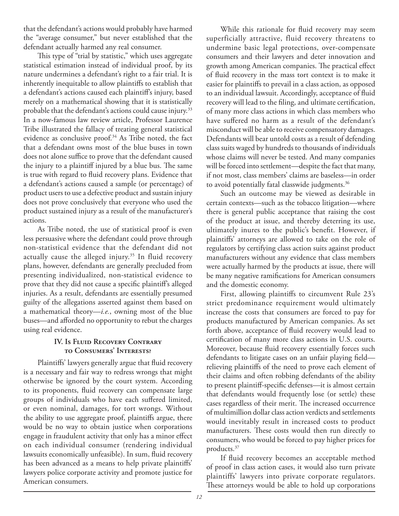that the defendant's actions would probably have harmed the "average consumer," but never established that the defendant actually harmed any real consumer.

This type of "trial by statistic," which uses aggregate statistical estimation instead of individual proof, by its nature undermines a defendant's right to a fair trial. It is inherently inequitable to allow plaintiffs to establish that a defendant's actions caused each plaintiff's injury, based merely on a mathematical showing that it is statistically probable that the defendant's actions could cause injury.<sup>33</sup> In a now-famous law review article, Professor Laurence Tribe illustrated the fallacy of treating general statistical evidence as conclusive proof.<sup>34</sup> As Tribe noted, the fact that a defendant owns most of the blue buses in town does not alone suffice to prove that the defendant caused the injury to a plaintiff injured by a blue bus. The same is true with regard to fluid recovery plans. Evidence that a defendant's actions caused a sample (or percentage) of product users to use a defective product and sustain injury does not prove conclusively that everyone who used the product sustained injury as a result of the manufacturer's actions.

As Tribe noted, the use of statistical proof is even less persuasive where the defendant could prove through non-statistical evidence that the defendant did not actually cause the alleged injury.<sup>35</sup> In fluid recovery plans, however, defendants are generally precluded from presenting individualized, non-statistical evidence to prove that they did not cause a specific plaintiff's alleged injuries. As a result, defendants are essentially presumed guilty of the allegations asserted against them based on a mathematical theory—*i.e.*, owning most of the blue buses—and afforded no opportunity to rebut the charges using real evidence.

### **IV. Is Fluid Recovery Contrary to Consumers' Interests?**

Plaintiffs' lawyers generally argue that fluid recovery is a necessary and fair way to redress wrongs that might otherwise be ignored by the court system. According to its proponents, fluid recovery can compensate large groups of individuals who have each suffered limited, or even nominal, damages, for tort wrongs. Without the ability to use aggregate proof, plaintiffs argue, there would be no way to obtain justice when corporations engage in fraudulent activity that only has a minor effect on each individual consumer (rendering individual lawsuits economically unfeasible). In sum, fluid recovery has been advanced as a means to help private plaintiffs' lawyers police corporate activity and promote justice for American consumers.

While this rationale for fluid recovery may seem superficially attractive, fluid recovery threatens to undermine basic legal protections, over-compensate consumers and their lawyers and deter innovation and growth among American companies. The practical effect of fluid recovery in the mass tort context is to make it easier for plaintiffs to prevail in a class action, as opposed to an individual lawsuit. Accordingly, acceptance of fluid recovery will lead to the filing, and ultimate certification, of many more class actions in which class members who have suffered no harm as a result of the defendant's misconduct will be able to receive compensatory damages. Defendants will bear untold costs as a result of defending class suits waged by hundreds to thousands of individuals whose claims will never be tested. And many companies will be forced into settlement—despite the fact that many, if not most, class members' claims are baseless—in order to avoid potentially fatal classwide judgments.<sup>36</sup>

Such an outcome may be viewed as desirable in certain contexts—such as the tobacco litigation—where there is general public acceptance that raising the cost of the product at issue, and thereby deterring its use, ultimately inures to the public's benefit. However, if plaintiffs' attorneys are allowed to take on the role of regulators by certifying class action suits against product manufacturers without any evidence that class members were actually harmed by the products at issue, there will be many negative ramifications for American consumers and the domestic economy.

First, allowing plaintiffs to circumvent Rule 23's strict predominance requirement would ultimately increase the costs that consumers are forced to pay for products manufactured by American companies. As set forth above, acceptance of fluid recovery would lead to certification of many more class actions in U.S. courts. Moreover, because fluid recovery essentially forces such defendants to litigate cases on an unfair playing field relieving plaintiffs of the need to prove each element of their claims and often robbing defendants of the ability to present plaintiff-specific defenses--it is almost certain that defendants would frequently lose (or settle) these cases regardless of their merit. The increased occurrence of multimillion dollar class action verdicts and settlements would inevitably result in increased costs to product manufacturers. These costs would then run directly to consumers, who would be forced to pay higher prices for products.37

If fluid recovery becomes an acceptable method of proof in class action cases, it would also turn private plaintiffs' lawyers into private corporate regulators. These attorneys would be able to hold up corporations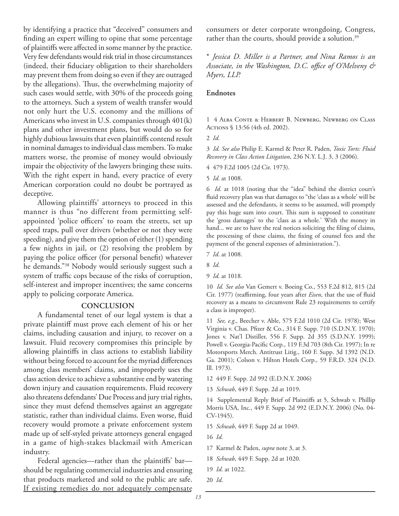by identifying a practice that "deceived" consumers and finding an expert willing to opine that some percentage of plaintiffs were affected in some manner by the practice. Very few defendants would risk trial in those circumstances (indeed, their fiduciary obligation to their shareholders may prevent them from doing so even if they are outraged by the allegations). Thus, the overwhelming majority of such cases would settle, with 30% of the proceeds going to the attorneys. Such a system of wealth transfer would not only hurt the U.S. economy and the millions of Americans who invest in U.S. companies through 401(k) plans and other investment plans, but would do so for highly dubious lawsuits that even plaintiffs contend result in nominal damages to individual class members. To make matters worse, the promise of money would obviously impair the objectivity of the lawyers bringing these suits. With the right expert in hand, every practice of every American corporation could no doubt be portrayed as deceptive.

Allowing plaintiffs' attorneys to proceed in this manner is thus "no different from permitting selfappointed 'police officers' to roam the streets, set up speed traps, pull over drivers (whether or not they were speeding), and give them the option of either (1) spending a few nights in jail, or (2) resolving the problem by paying the police officer (for personal benefit) whatever he demands."38 Nobody would seriously suggest such a system of traffic cops because of the risks of corruption, self-interest and improper incentives; the same concerns apply to policing corporate America.

### **CONCLUSION**

A fundamental tenet of our legal system is that a private plaintiff must prove each element of his or her claims, including causation and injury, to recover on a lawsuit. Fluid recovery compromises this principle by allowing plaintiffs in class actions to establish liability without being forced to account for the myriad differences among class members' claims, and improperly uses the class action device to achieve a substantive end by watering down injury and causation requirements. Fluid recovery also threatens defendants' Due Process and jury trial rights, since they must defend themselves against an aggregate statistic, rather than individual claims. Even worse, fluid recovery would promote a private enforcement system made up of self-styled private attorneys general engaged in a game of high-stakes blackmail with American industry.

Federal agencies—rather than the plaintiffs' bar should be regulating commercial industries and ensuring that products marketed and sold to the public are safe. If existing remedies do not adequately compensate

consumers or deter corporate wrongdoing, Congress, rather than the courts, should provide a solution.<sup>39</sup>

\* *Jessica D. Miller is a Partner, and Nina Ramos is an*  Associate, in the Washington, D.C. office of O'Melveny & *Myers, LLP.*

### **Endnotes**

1 4 Alba Conte & Herbert B. Newberg, Newberg on Class Actions § 13:56 (4th ed. 2002).

3 *Id. See also* Philip E. Karmel & Peter R. Paden, *Toxic Torts: Fluid Recovery in Class Action Litigation*, 236 N.Y. L.J. 3, 3 (2006).

4 479 F.2d 1005 (2d Cir. 1973).

5 *Id*. at 1008.

6 *Id.* at 1018 (noting that the "idea" behind the district court's fluid recovery plan was that damages to "the 'class as a whole' will be assessed and the defendants, it seems to be assumed, will promptly pay this huge sum into court. This sum is supposed to constitute the 'gross damages' to the 'class as a whole.' With the money in hand... we are to have the real notices soliciting the filing of claims, the processing of these claims, the fixing of counsel fees and the payment of the general expenses of administration.").

7 *Id*. at 1008.

9 *Id*. at 1018.

10 *Id. See also* Van Gemert v. Boeing Co., 553 F.2d 812, 815 (2d Cir. 1977) (reaffirming, four years after *Eisen*, that the use of fluid recovery as a means to circumvent Rule 23 requirements to certify a class is improper).

11 *See, e.g*., Beecher v. Able, 575 F.2d 1010 (2d Cir. 1978); West Virginia v. Chas. Pfizer & Co., 314 F. Supp. 710 (S.D.N.Y. 1970); Jones v. Nat'l Distiller, 556 F. Supp. 2d 355 (S.D.N.Y. 1999); Powell v. Georgia-Pacific Corp., 119 F.3d 703 (8th Cir. 1997); In re Motorsports Merch. Antitrust Litig., 160 F. Supp. 3d 1392 (N.D. Ga. 2001); Colson v. Hilton Hotels Corp., 59 F.R.D. 324 (N.D. Ill. 1973).

- 12 449 F. Supp. 2d 992 (E.D.N.Y. 2006)
- 13 *Schwab*, 449 F. Supp. 2d at 1019.

14 Supplemental Reply Brief of Plaintiffs at 5, Schwab v. Phillip Morris USA, Inc., 449 F. Supp. 2d 992 (E.D.N.Y. 2006) (No. 04- CV-1945).

15 *Schwab*, 449 F. Supp 2d at 1049.

- 16 *Id*.
- 17 Karmel & Paden, *supra* note 3, at 3.
- 18 *Schwab*, 449 F. Supp. 2d at 1020.
- 19 *Id*. at 1022.
- 20 *Id*.

<sup>2</sup> *Id.*

<sup>8</sup> *Id*.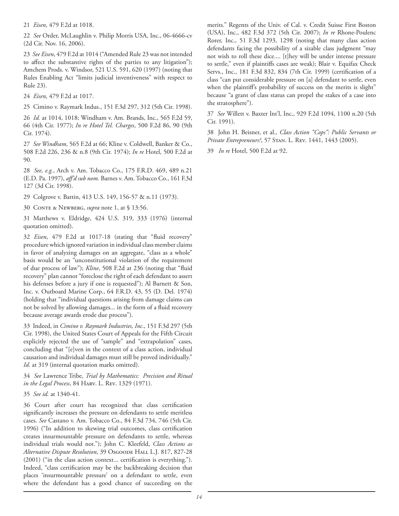21 *Eisen*, 479 F.2d at 1018.

22 *See* Order, McLaughlin v. Philip Morris USA, Inc., 06-4666-cv (2d Cir. Nov. 16, 2006).

23 *See Eisen*, 479 F.2d at 1014 ("Amended Rule 23 was not intended to affect the substantive rights of the parties to any litigation"); Amchem Prods. v. Windsor, 521 U.S. 591, 620 (1997) (noting that Rules Enabling Act "limits judicial inventiveness" with respect to Rule 23).

24 *Eisen*, 479 F.2d at 1017.

25 Cimino v. Raymark Indus., 151 F.3d 297, 312 (5th Cir. 1998).

26 *Id.* at 1014, 1018; Windham v. Am. Brands, Inc., 565 F.2d 59, 66 (4th Cir. 1977); *In re Hotel Tel. Charges*, 500 F.2d 86, 90 (9th Cir. 1974).

27 *See Windham*, 565 F.2d at 66; Kline v. Coldwell, Banker & Co., 508 F.2d 226, 236 & n.8 (9th Cir. 1974); *In re* Hotel, 500 F.2d at 90.

28 *See, e.g.*, Arch v. Am. Tobacco Co., 175 F.R.D. 469, 489 n.21 (E.D. Pa. 1997), aff'd sub nom. Barnes v. Am. Tobacco Co., 161 F.3d 127 (3d Cir. 1998).

29 Colgrove v. Battin, 413 U.S. 149, 156-57 & n.11 (1973).

30 Conte & Newberg, *supra* note 1, at § 13:56.

31 Matthews v. Eldridge, 424 U.S. 319, 333 (1976) (internal quotation omitted).

32 *Eisen*, 479 F.2d at 1017-18 (stating that "fluid recovery" procedure which ignored variation in individual class member claims in favor of analyzing damages on an aggregate, "class as a whole" basis would be an "unconstitutional violation of the requirement of due process of law"); *Kline*, 508 F.2d at 236 (noting that "fluid recovery" plan cannot "foreclose the right of each defendant to assert his defenses before a jury if one is requested"); Al Barnett & Son, Inc. v. Outboard Marine Corp., 64 F.R.D. 43, 55 (D. Del. 1974) (holding that "individual questions arising from damage claims can not be solved by allowing damages... in the form of a fluid recovery because average awards erode due process").

33 Indeed, in *Cimino v. Raymark Industries, Inc*., 151 F.3d 297 (5th Cir. 1998), the United States Court of Appeals for the Fifth Circuit explicitly rejected the use of "sample" and "extrapolation" cases, concluding that "[e]ven in the context of a class action, individual causation and individual damages must still be proved individually." *Id*. at 319 (internal quotation marks omitted).

34 *See* Lawrence Tribe, *Trial by Mathematics: Precision and Ritual in the Legal Process*, 84 Harv. L. Rev. 1329 (1971).

35 *See id.* at 1340-41.

36 Court after court has recognized that class certification significantly increases the pressure on defendants to settle meritless cases. *See* Castano v. Am. Tobacco Co., 84 F.3d 734, 746 (5th Cir. 1996) ("In addition to skewing trial outcomes, class certification creates insurmountable pressure on defendants to settle, whereas individual trials would not."); John C. Kleefeld, *Class Actions as Alternative Dispute Resolution*, 39 Osgoode Hall L.J. 817, 827-28  $(2001)$  ("in the class action context... certification is everything."). Indeed, "class certification may be the backbreaking decision that places 'insurmountable pressure' on a defendant to settle, even where the defendant has a good chance of succeeding on the

merits." Regents of the Univ. of Cal. v. Credit Suisse First Boston (USA), Inc., 482 F.3d 372 (5th Cir. 2007); *In re* Rhone-Poulenc Rorer, Inc., 51 F.3d 1293, 1298 (noting that many class action defendants facing the possibility of a sizable class judgment "may not wish to roll these dice.... [t]hey will be under intense pressure to settle," even if plaintiffs cases are weak); Blair v. Equifax Check Servs., Inc., 181 F.3d 832, 834 (7th Cir. 1999) (certification of a class "can put considerable pressure on [a] defendant to settle, even when the plaintiff's probability of success on the merits is slight" because "a grant of class status can propel the stakes of a case into the stratosphere").

37 *See* Willett v. Baxter Int'l, Inc., 929 F.2d 1094, 1100 n.20 (5th Cir. 1991).

38 John H. Beisner, et al., *Class Action "Cops": Public Servants or Private Entrepreneurs?*, 57 Stan. L. Rev. 1441, 1443 (2005).

39 *In re* Hotel, 500 F.2d at 92.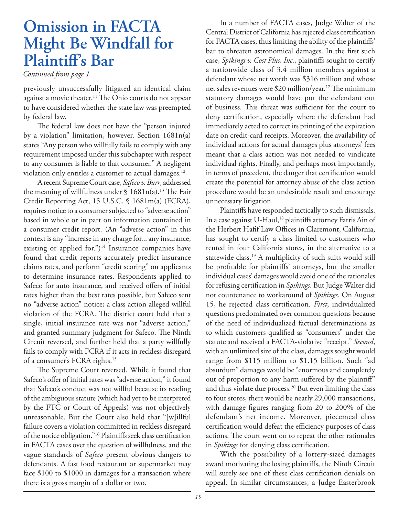# **Omission in FACTA Might Be Windfall for Plaintiff's Bar**

### *Continued from page 1*

previously unsuccessfully litigated an identical claim against a movie theater.<sup>11</sup> The Ohio courts do not appear to have considered whether the state law was preempted by federal law.

The federal law does not have the "person injured by a violation" limitation, however. Section 1681n(a) states "Any person who willfully fails to comply with any requirement imposed under this subchapter with respect to any consumer is liable to that consumer." A negligent violation only entitles a customer to actual damages.<sup>12</sup>

A recent Supreme Court case, *Safeco v. Burr*, addressed the meaning of willfulness under  $\int$  1681n(a).<sup>13</sup> The Fair Credit Reporting Act, 15 U.S.C. § 1681m(a) (FCRA), requires notice to a consumer subjected to "adverse action" based in whole or in part on information contained in a consumer credit report. (An "adverse action" in this context is any "increase in any charge for... any insurance, existing or applied for.")<sup>14</sup> Insurance companies have found that credit reports accurately predict insurance claims rates, and perform "credit scoring" on applicants to determine insurance rates. Respondents applied to Safeco for auto insurance, and received offers of initial rates higher than the best rates possible, but Safeco sent no "adverse action" notice; a class action alleged willful violation of the FCRA. The district court held that a single, initial insurance rate was not "adverse action," and granted summary judgment for Safeco. The Ninth Circuit reversed, and further held that a party willfully fails to comply with FCRA if it acts in reckless disregard of a consumer's FCRA rights.15

The Supreme Court reversed. While it found that Safeco's offer of initial rates was "adverse action," it found that Safeco's conduct was not willful because its reading of the ambiguous statute (which had yet to be interpreted by the FTC or Court of Appeals) was not objectively unreasonable. But the Court also held that "[w]illful failure covers a violation committed in reckless disregard of the notice obligation."<sup>16</sup> Plaintiffs seek class certification in FACTA cases over the question of willfulness, and the vague standards of *Safeco* present obvious dangers to defendants. A fast food restaurant or supermarket may face \$100 to \$1000 in damages for a transaction where there is a gross margin of a dollar or two.

In a number of FACTA cases, Judge Walter of the Central District of California has rejected class certification for FACTA cases, thus limiting the ability of the plaintiffs' bar to threaten astronomical damages. In the first such case, *Spikings v. Cost Plus, Inc.*, plaintiffs sought to certify a nationwide class of 3.4 million members against a defendant whose net worth was \$316 million and whose net sales revenues were \$20 million/year.<sup>17</sup> The minimum statutory damages would have put the defendant out of business. This threat was sufficient for the court to deny certification, especially where the defendant had immediately acted to correct its printing of the expiration date on credit-card receipts. Moreover, the availability of individual actions for actual damages plus attorneys' fees meant that a class action was not needed to vindicate individual rights. Finally, and perhaps most importantly, in terms of precedent, the danger that certification would create the potential for attorney abuse of the class action procedure would be an undesirable result and encourage unnecessary litigation.

Plaintiffs have responded tactically to such dismissals. In a case against U-Haul,<sup>18</sup> plaintiffs attorney Farris Ain of the Herbert Hafif Law Offices in Claremont, California, has sought to certify a class limited to customers who rented in four California stores, in the alternative to a statewide class.19 A multiplicity of such suits would still be profitable for plaintiffs' attorneys, but the smaller individual cases' damages would avoid one of the rationales for refusing certification in *Spikings*. But Judge Walter did not countenance to workaround of *Spikings*. On August 15, he rejected class certification. First, individualized questions predominated over common questions because of the need of individualized factual determinations as to which customers qualified as "consumers" under the statute and received a FACTA-violative "receipt." *Second*, with an unlimited size of the class, damages sought would range from \$115 million to \$1.15 billion. Such "ad absurdum" damages would be "enormous and completely out of proportion to any harm suffered by the plaintiff" and thus violate due process.<sup>20</sup> But even limiting the class to four stores, there would be nearly 29,000 transactions, with damage figures ranging from 20 to 200% of the defendant's net income. Moreover, piecemeal class certification would defeat the efficiency purposes of class actions. The court went on to repeat the other rationales in *Spikings* for denying class certification.

With the possibility of a lottery-sized damages award motivating the losing plaintiffs, the Ninth Circuit will surely see one of these class certification denials on appeal. In similar circumstances, a Judge Easterbrook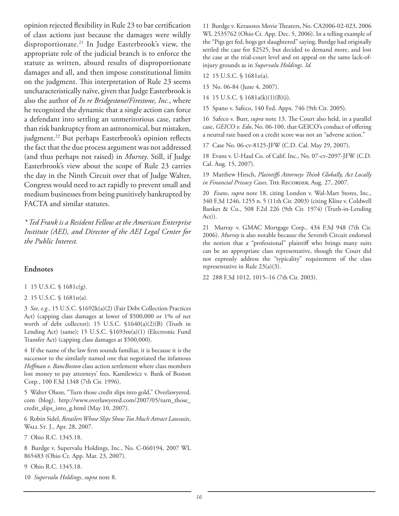opinion rejected flexibility in Rule 23 to bar certification of class actions just because the damages were wildly disproportionate.21 In Judge Easterbrook's view, the appropriate role of the judicial branch is to enforce the statute as written, absurd results of disproportionate damages and all, and then impose constitutional limits on the judgment. This interpretation of Rule 23 seems uncharacteristically naïve, given that Judge Easterbrook is also the author of *In re Bridgestone/Firestone, Inc.*, where he recognized the dynamic that a single action can force a defendant into settling an unmeritorious case, rather than risk bankruptcy from an astronomical, but mistaken, judgment.<sup>22</sup> But perhaps Easterbrook's opinion reflects the fact that the due process argument was not addressed (and thus perhaps not raised) in *Murray*. Still, if Judge Easterbrook's view about the scope of Rule 23 carries the day in the Ninth Circuit over that of Judge Walter, Congress would need to act rapidly to prevent small and medium businesses from being punitively bankrupted by FACTA and similar statutes.

*\* Ted Frank is a Resident Fellow at the American Enterprise Institute (AEI), and Director of the AEI Legal Center for the Public Interest.* 

### **Endnotes**

- 1 15 U.S.C. § 1681c(g).
- 2 15 U.S.C. § 1681n(a).

3 *See, e.g.,* 15 U.S.C. §1692k(a)(2) (Fair Debt Collection Practices Act) (capping class damages at lower of \$500,000 or 1% of net worth of debt collector); 15 U.S.C. §1640(a)(2)(B) (Truth in Lending Act) (same); 15 U.S.C. §1693m(a)(1) (Electronic Fund Transfer Act) (capping class damages at \$500,000).

4 If the name of the law firm sounds familiar, it is because it is the successor to the similarly named one that negotiated the infamous Hoffman v. BancBoston class action settlement where class members lost money to pay attorneys' fees. Kamilewicz v. Bank of Boston Corp*.*, 100 F.3d 1348 (7th Cir. 1996).

5 Walter Olson, "Turn those credit slips into gold," Overlawyered. com (blog), http://www.overlawyered.com/2007/05/turn\_those\_ credit\_slips\_into\_g.html (May 10, 2007).

6 Robin Sidel, *Retailers Whose Slips Show Too Much Attract Lawsuits*, WALL ST. J., Apr. 28, 2007.

7 Ohio R.C. 1345.18.

8 Burdge v. Supervalu Holdings, Inc*.*, No. C-060194, 2007 WL 865483 (Ohio Ct. App. Mar. 23, 2007).

9 Ohio R.C. 1345.18.

10 *Supervalu Holdings*, *supra* note 8.

11 Burdge v. Kerasotes Movie Theaters, No. CA2006-02-023, 2006 WL 2535762 (Ohio Ct. App. Dec. 5, 2006). In a telling example of the "Pigs get fed, hogs get slaughtered" saying, Burdge had originally settled the case for \$2525, but decided to demand more, and lost the case at the trial-court level and on appeal on the same lack-ofinjury grounds as in *Supervalu Holdings*. *Id.*

12 15 U.S.C. § 1681o(a).

13 No. 06-84 (June 4, 2007).

14 15 U.S.C. § 1681a(k)(1)(B)(i).

15 Spano v. Safeco, 140 Fed. Appx. 746 (9th Cir. 2005).

16 Safeco v. Burr, *supra* note 13. The Court also held, in a parallel case, *GEICO v. Edo*, No. 06-100, that GEICO's conduct of offering a neutral rate based on a credit score was not an "adverse action."

17 Case No. 06-cv-8125-JFW (C.D. Cal. May 29, 2007).

18 Evans v. U-Haul Co. of Calif. Inc*.*, No. 07-cv-2097-JFW (C.D. Cal. Aug. 15, 2007).

19 Matthew Hirsch, *Plaintiffs Attorneys Think Globally, Act Locally in Financial Privacy Cases*, The Recorder, Aug. 27, 2007.

20 *Evans*, *supra* note 18, citing London v. Wal-Mart Stores, Inc., 340 F.3d 1246, 1255 n. 5 (11th Cir. 2003) (citing Kline v. Coldwell Banker & Co., 508 F.2d 226 (9th Cir. 1974) (Truth-in-Lending Act)).

21 Murray v. GMAC Mortgage Corp., 434 F.3d 948 (7th Cir. 2006). *Murray* is also notable because the Seventh Circuit endorsed the notion that a "professional" plaintiff who brings many suits can be an appropriate class representative, though the Court did not expressly address the "typicality" requirement of the class representative in Rule 23(a)(3).

22 288 F.3d 1012, 1015–16 (7th Cir. 2003).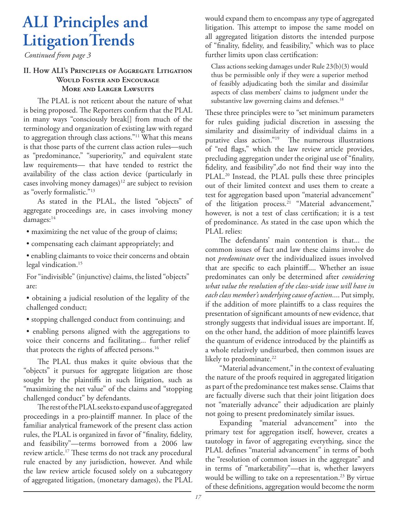# **ALI Principles and LitigationTrends**

*Continued from page 3*

### **II. How ALI's Principles of Aggregate Litigation Would Foster and Encourage More and Larger Lawsuits**

The PLAL is not reticent about the nature of what is being proposed. The Reporters confirm that the PLAL in many ways "consciously break[] from much of the terminology and organization of existing law with regard to aggregation through class actions."11 What this means is that those parts of the current class action rules—such as "predominance," "superiority," and equivalent state law requirements— that have tended to restrict the availability of the class action device (particularly in cases involving money damages)<sup>12</sup> are subject to revision as "overly formalistic."13

As stated in the PLAL, the listed "objects" of aggregate proceedings are, in cases involving money damages:<sup>14</sup>

- maximizing the net value of the group of claims;
- compensating each claimant appropriately; and
- enabling claimants to voice their concerns and obtain legal vindication.<sup>15</sup>

For "indivisible" (injunctive) claims, the listed "objects" are:

• obtaining a judicial resolution of the legality of the challenged conduct;

• stopping challenged conduct from continuing; and

• enabling persons aligned with the aggregations to voice their concerns and facilitating... further relief that protects the rights of affected persons.<sup>16</sup>

The PLAL thus makes it quite obvious that the "objects" it pursues for aggregate litigation are those sought by the plaintiffs in such litigation, such as "maximizing the net value" of the claims and "stopping challenged conduct" by defendants.

The rest of the PLAL seeks to expand use of aggregated proceedings in a pro-plaintiff manner. In place of the familiar analytical framework of the present class action rules, the PLAL is organized in favor of "finality, fidelity, and feasibility"—terms borrowed from a 2006 law review article.<sup>17</sup> These terms do not track any procedural rule enacted by any jurisdiction, however. And while the law review article focused solely on a subcategory of aggregated litigation, (monetary damages), the PLAL would expand them to encompass any type of aggregated litigation. This attempt to impose the same model on all aggregated litigation distorts the intended purpose of "finality, fidelity, and feasibility," which was to place further limits upon class certification:

Class actions seeking damages under Rule 23(b)(3) would thus be permissible only if they were a superior method of feasibly adjudicating both the similar and dissimilar aspects of class members' claims to judgment under the substantive law governing claims and defenses.<sup>18</sup>

These three principles were to "set minimum parameters for rules guiding judicial discretion in assessing the similarity and dissimilarity of individual claims in a putative class action."<sup>19</sup> The numerous illustrations of "red flags," which the law review article provides, precluding aggregation under the original use of "finality, fidelity, and feasibility", do not find their way into the PLAL.20 Instead, the PLAL pulls these three principles out of their limited context and uses them to create a test for aggregation based upon "material advancement" of the litigation process.<sup>21</sup> "Material advancement," however, is not a test of class certification; it is a test of predominance. As stated in the case upon which the PLAL relies:

The defendants' main contention is that... the common issues of fact and law these claims involve do not *predominate* over the individualized issues involved that are specific to each plaintiff.... Whether an issue predominates can only be determined after *considering what value the resolution of the class-wide issue will have in each class member's underlying cause of action*.... Put simply, if the addition of more plaintiffs to a class requires the presentation of significant amounts of new evidence, that strongly suggests that individual issues are important. If, on the other hand, the addition of more plaintiffs leaves the quantum of evidence introduced by the plaintiffs as a whole relatively undisturbed, then common issues are likely to predominate.<sup>22</sup>

"Material advancement," in the context of evaluating the nature of the proofs required in aggregated litigation as part of the predominance test makes sense. Claims that are factually diverse such that their joint litigation does not "materially advance" their adjudication are plainly not going to present predominately similar issues.

Expanding "material advancement" into the primary test for aggregation itself, however, creates a tautology in favor of aggregating everything, since the PLAL defines "material advancement" in terms of both the "resolution of common issues in the aggregate" and in terms of "marketability"—that is, whether lawyers would be willing to take on a representation.<sup>23</sup> By virtue of these definitions, aggregation would become the norm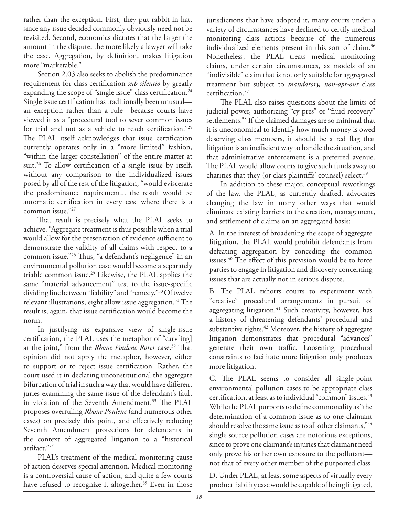rather than the exception. First, they put rabbit in hat, since any issue decided commonly obviously need not be revisited. Second, economics dictates that the larger the amount in the dispute, the more likely a lawyer will take the case. Aggregation, by definition, makes litigation more "marketable."

Section 2.03 also seeks to abolish the predominance requirement for class certification *sub silentio* by greatly expanding the scope of "single issue" class certification.<sup>24</sup> Single issue certification has traditionally been unusualan exception rather than a rule—because courts have viewed it as a "procedural tool to sever common issues for trial and not as a vehicle to reach certification."25 The PLAL itself acknowledges that issue certification currently operates only in a "more limited" fashion, "within the larger constellation" of the entire matter at suit.<sup>26</sup> To allow certification of a single issue by itself, without any comparison to the individualized issues posed by all of the rest of the litigation, "would eviscerate the predominance requirement... the result would be automatic certification in every case where there is a common issue."27

That result is precisely what the PLAL seeks to achieve. "Aggregate treatment is thus possible when a trial would allow for the presentation of evidence sufficient to demonstrate the validity of all claims with respect to a common issue."<sup>28</sup> Thus, "a defendant's negligence" in an environmental pollution case would become a separately triable common issue.29 Likewise, the PLAL applies the same "material advancement" test to the issue-specific dividing line between "liability" and "remedy."30 Of twelve relevant illustrations, eight allow issue aggregation.<sup>31</sup> The result is, again, that issue certification would become the norm.

In justifying its expansive view of single-issue certification, the PLAL uses the metaphor of "carv[ing] at the joint," from the *Rhone-Poulenc Rorer* case.<sup>32</sup> That opinion did not apply the metaphor, however, either to support or to reject issue certification. Rather, the court used it in declaring unconstitutional the aggregate bifurcation of trial in such a way that would have different juries examining the same issue of the defendant's fault in violation of the Seventh Amendment.<sup>33</sup> The PLAL proposes overruling *Rhone Poulenc* (and numerous other cases) on precisely this point, and effectively reducing Seventh Amendment protections for defendants in the context of aggregated litigation to a "historical artifact."34

PLAL's treatment of the medical monitoring cause of action deserves special attention. Medical monitoring is a controversial cause of action, and quite a few courts have refused to recognize it altogether.<sup>35</sup> Even in those jurisdictions that have adopted it, many courts under a variety of circumstances have declined to certify medical monitoring class actions because of the numerous individualized elements present in this sort of claim.<sup>36</sup> Nonetheless, the PLAL treats medical monitoring claims, under certain circumstances, as models of an "indivisible" claim that is not only suitable for aggregated treatment but subject to *mandatory, non-opt-out* class certification.<sup>37</sup>

The PLAL also raises questions about the limits of judicial power, authorizing "cy pres" or "fluid recovery" settlements.<sup>38</sup> If the claimed damages are so minimal that it is uneconomical to identify how much money is owed deserving class members, it should be a red flag that litigation is an inefficient way to handle the situation, and that administrative enforcement is a preferred avenue. The PLAL would allow courts to give such funds away to charities that they (or class plaintiffs' counsel) select.<sup>39</sup>

In addition to these major, conceptual reworkings of the law, the PLAL, as currently drafted, advocates changing the law in many other ways that would eliminate existing barriers to the creation, management, and settlement of claims on an aggregated basis:

A. In the interest of broadening the scope of aggregate litigation, the PLAL would prohibit defendants from defeating aggregation by conceding the common issues.<sup>40</sup> The effect of this provision would be to force parties to engage in litigation and discovery concerning issues that are actually not in serious dispute.

B. The PLAL exhorts courts to experiment with "creative" procedural arrangements in pursuit of aggregating litigation.<sup>41</sup> Such creativity, however, has a history of threatening defendants' procedural and substantive rights.<sup>42</sup> Moreover, the history of aggregate litigation demonstrates that procedural "advances" generate their own traffic. Loosening procedural constraints to facilitate more litigation only produces more litigation.

C. The PLAL seems to consider all single-point environmental pollution cases to be appropriate class certification, at least as to individual "common" issues.<sup>43</sup> While the PLAL purports to define commonality as "the determination of a common issue as to one claimant should resolve the same issue as to all other claimants,"44 single source pollution cases are notorious exceptions, since to prove one claimant's injuries that claimant need only prove his or her own exposure to the pollutant not that of every other member of the purported class.

D. Under PLAL, at least some aspects of virtually every product liability case would be capable of being litigated,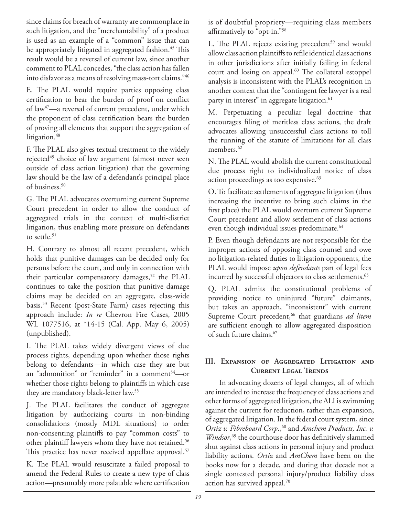since claims for breach of warranty are commonplace in such litigation, and the "merchantability" of a product is used as an example of a "common" issue that can be appropriately litigated in aggregated fashion.<sup>45</sup> This result would be a reversal of current law, since another comment to PLAL concedes, "the class action has fallen into disfavor as a means of resolving mass-tort claims."46

E. The PLAL would require parties opposing class certification to bear the burden of proof on conflict of law47—a reversal of current precedent, under which the proponent of class certification bears the burden of proving all elements that support the aggregation of litigation.<sup>48</sup>

F. The PLAL also gives textual treatment to the widely rejected<sup>49</sup> choice of law argument (almost never seen outside of class action litigation) that the governing law should be the law of a defendant's principal place of business.<sup>50</sup>

G. The PLAL advocates overturning current Supreme Court precedent in order to allow the conduct of aggregated trials in the context of multi-district litigation, thus enabling more pressure on defendants to settle. $51$ 

H. Contrary to almost all recent precedent, which holds that punitive damages can be decided only for persons before the court, and only in connection with their particular compensatory damages,<sup>52</sup> the PLAL continues to take the position that punitive damage claims may be decided on an aggregate, class-wide basis.53 Recent (post-State Farm) cases rejecting this approach include: *In re* Chevron Fire Cases, 2005 WL 1077516, at \*14-15 (Cal. App. May 6, 2005) (unpublished).

I. The PLAL takes widely divergent views of due process rights, depending upon whether those rights belong to defendants—in which case they are but an "admonition" or "reminder" in a comment<sup>54</sup>-or whether those rights belong to plaintiffs in which case they are mandatory black-letter law.55

J. The PLAL facilitates the conduct of aggregate litigation by authorizing courts in non-binding consolidations (mostly MDL situations) to order non-consenting plaintiffs to pay "common costs" to other plaintiff lawyers whom they have not retained.<sup>56</sup> This practice has never received appellate approval.<sup>57</sup>

K. The PLAL would resuscitate a failed proposal to amend the Federal Rules to create a new type of class action—presumably more palatable where certification is of doubtful propriety—requiring class members affirmatively to "opt-in."<sup>58</sup>

L. The PLAL rejects existing precedent<sup>59</sup> and would allow class action plaintiffs to refile identical class actions in other jurisdictions after initially failing in federal court and losing on appeal.<sup>60</sup> The collateral estoppel analysis is inconsistent with the PLAL's recognition in another context that the "contingent fee lawyer is a real party in interest" in aggregate litigation.<sup>61</sup>

M. Perpetuating a peculiar legal doctrine that encourages filing of meritless class actions, the draft advocates allowing unsuccessful class actions to toll the running of the statute of limitations for all class members.<sup>62</sup>

N. The PLAL would abolish the current constitutional due process right to individualized notice of class action proceedings as too expensive.<sup>63</sup>

O. To facilitate settlements of aggregate litigation (thus increasing the incentive to bring such claims in the first place) the PLAL would overturn current Supreme Court precedent and allow settlement of class actions even though individual issues predominate.<sup>64</sup>

P. Even though defendants are not responsible for the improper actions of opposing class counsel and owe no litigation-related duties to litigation opponents, the PLAL would impose *upon defendants* part of legal fees incurred by successful objectors to class settlements.<sup>65</sup>

Q. PLAL admits the constitutional problems of providing notice to uninjured "future" claimants, but takes an approach, "inconsistent" with current Supreme Court precedent,<sup>66</sup> that guardians *ad litem* are sufficient enough to allow aggregated disposition of such future claims.67

### **III. Expansion of Aggregated Litigation and Current Legal Trends**

In advocating dozens of legal changes, all of which are intended to increase the frequency of class actions and other forms of aggregated litigation, the ALI is swimming against the current for reduction, rather than expansion, of aggregated litigation. In the federal court system, since *Ortiz v. Fibreboard Corp.*,<sup>68</sup> and *Amchem Products, Inc. v. Windsor*,<sup>69</sup> the courthouse door has definitively slammed shut against class actions in personal injury and product liability actions. *Ortiz* and *AmChem* have been on the books now for a decade, and during that decade not a single contested personal injury/product liability class action has survived appeal.70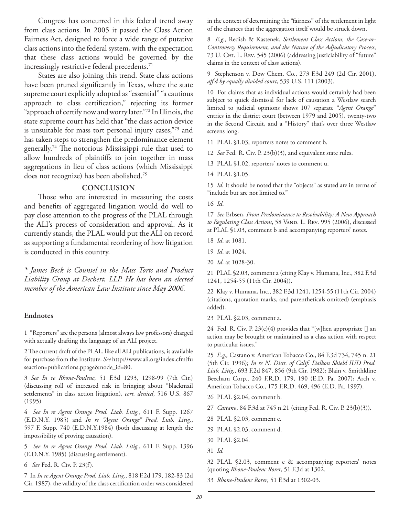Congress has concurred in this federal trend away from class actions. In 2005 it passed the Class Action Fairness Act, designed to force a wide range of putative class actions into the federal system, with the expectation that these class actions would be governed by the increasingly restrictive federal precedents.<sup>71</sup>

States are also joining this trend. State class actions have been pruned significantly in Texas, where the state supreme court explicitly adopted as "essential" "a cautious approach to class certification," rejecting its former "approach of certify now and worry later."72 In Illinois, the state supreme court has held that "the class action device is unsuitable for mass tort personal injury cases,"73 and has taken steps to strengthen the predominance element generally.<sup>74</sup> The notorious Mississippi rule that used to allow hundreds of plaintiffs to join together in mass aggregations in lieu of class actions (which Mississippi does not recognize) has been abolished.75

### **CONCLUSION**

Those who are interested in measuring the costs and benefits of aggregated litigation would do well to pay close attention to the progress of the PLAL through the ALI's process of consideration and approval. As it currently stands, the PLAL would put the ALI on record as supporting a fundamental reordering of how litigation is conducted in this country.

*\* James Beck is Counsel in the Mass Torts and Product Liability Group at Dechert, LLP. He has been an elected member of the American Law Institute since May 2006.*

### **Endnotes**

1 "Reporters" are the persons (almost always law professors) charged with actually drafting the language of an ALI project.

2 The current draft of the PLAL, like all ALI publications, is available for purchase from the Institute. *See* http://www.ali.org/index.cfm?fu seaction=publications.ppage&node\_id=80.

3 *See In re Rhone-Poulenc*, 51 F.3d 1293, 1298-99 (7th Cir.) (discussing roll of increased risk in bringing about "blackmail settlements" in class action litigation), *cert. denied*, 516 U.S. 867 (1995)

4 *See In re Agent Orange Prod. Liab. Litig.*, 611 F. Supp. 1267 (E.D.N.Y. 1985) and *In re "Agent Orange" Prod. Liab. Litig.*, 597 F. Supp. 740 (E.D.N.Y.1984) (both discussing at length the impossibility of proving causation).

5 *See In re Agent Orange Prod. Liab. Litig.*, 611 F. Supp. 1396 (E.D.N.Y. 1985) (discussing settlement).

6 *See* Fed. R. Civ. P. 23(f).

7 In *In re Agent Orange Prod. Liab. Litig*., 818 F.2d 179, 182-83 (2d Cir. 1987), the validity of the class certification order was considered in the context of determining the "fairness" of the settlement in light of the chances that the aggregation itself would be struck down.

8 *E.g.,* Redish & Kastenek, *Settlement Class Actions, the Case-or-Controversy Requirement, and the Nature of the Adjudicatory Process*, 73 U. Chi. L. Rev. 545 (2006) (addressing justiciability of "future" claims in the context of class actions).

9 Stephenson v. Dow Chem. Co., 273 F.3d 249 (2d Cir. 2001), *aff 'd by equally divided court*, 539 U.S. 111 (2003).

10 For claims that as individual actions would certainly had been subject to quick dismissal for lack of causation a Westlaw search limited to judicial opinions shows 107 separate "*Agent Orange*" entries in the district court (between 1979 and 2005), twenty-two in the Second Circuit, and a "History" that's over three Westlaw screens long.

11 PLAL §1.03, reporters notes to comment b.

12 *See* Fed. R. Civ. P. 23(b)(3), and equivalent state rules.

13 PLAL §1.02, reporters' notes to comment u.

14 PLAL §1.05.

15 *Id.* It should be noted that the "objects" as stated are in terms of "include but are not limited to."

16 *Id*.

17 *See* Erbsen, *From Predominance to Resolvability: A New Approach*  to Regulating Class Actions, 58 VAND. L. REV. 995 (2006), discussed at PLAL §1.03, comment b and accompanying reporters' notes.

18 *Id*. at 1081.

19 *Id*. at 1024.

20 *Id*. at 1028-30.

21 PLAL §2.03, comment a (citing Klay v. Humana, Inc., 382 F.3d 1241, 1254-55 (11th Cir. 2004)).

22 Klay v. Humana, Inc., 382 F.3d 1241, 1254-55 (11th Cir. 2004) (citations, quotation marks, and parentheticals omitted) (emphasis added).

23 PLAL §2.03, comment a.

24 Fed. R. Civ. P. 23(c)(4) provides that "[w]hen appropriate [] an action may be brought or maintained as a class action with respect to particular issues."

25 *E.g.,* Castano v. American Tobacco Co., 84 F.3d 734, 745 n. 21 (5th Cir. 1996); *In re N. Distr. of Calif. Dalkon Shield IUD Prod. Liab. Litig.*, 693 F.2d 847, 856 (9th Cir. 1982); Blain v. Smithkline Beecham Corp., 240 F.R.D. 179, 190 (E.D. Pa. 2007); Arch v. American Tobacco Co., 175 F.R.D. 469, 496 (E.D. Pa. 1997).

26 PLAL §2.04, comment b.

27 *Castano*, 84 F.3d at 745 n.21 (citing Fed. R. Civ. P. 23(b)(3)).

- 28 PLAL §2.03, comment c.
- 29 PLAL §2.03, comment d.
- 30 PLAL §2.04.

31 *Id.*

32 PLAL §2.03, comment c & accompanying reporters' notes (quoting *Rhone-Poulenc Rorer*, 51 F.3d at 1302.

33 *Rhone-Poulenc Rorer*, 51 F.3d at 1302-03.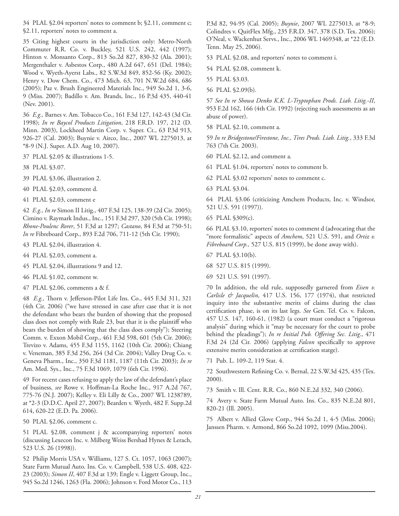34 PLAL §2.04 reporters' notes to comment b; §2.11, comment c; §2.11, reporters' notes to comment a.

35 Citing highest courts in the jurisdiction only: Metro-North Commuter R.R. Co. v. Buckley, 521 U.S. 242, 442 (1997); Hinton v. Monsanto Corp., 813 So.2d 827, 830-32 (Ala. 2001); Mergenthaler v. Asbestos Corp., 480 A.2d 647, 651 (Del. 1984); Wood v. Wyeth-Ayerst Labs., 82 S.W.3d 849, 852-56 (Ky. 2002); Henry v. Dow Chem. Co., 473 Mich. 63, 701 N.W.2d 684, 686 (2005); Paz v. Brush Engineered Materials Inc., 949 So.2d 1, 3-6, 9 (Miss. 2007); Badillo v. Am. Brands, Inc., 16 P.3d 435, 440-41 (Nev. 2001).

36 *E.g.,* Barnes v. Am. Tobacco Co., 161 F.3d 127, 142-43 (3d Cir. 1998); *In re Baycol Products Litigation*, 218 F.R.D. 197, 212 (D. Minn. 2003), Lockheed Martin Corp. v. Super. Ct., 63 P.3d 913, 926-27 (Cal. 2003); Buynie v. Airco, Inc., 2007 WL 2275013, at \*8-9 (N.J. Super. A.D. Aug 10, 2007).

37 PLAL §2.05 & illustrations 1-5.

38 PLAL §3.07.

39 PLAL §3.06, illustration 2.

40 PLAL §2.03, comment d.

41 PLAL §2.03, comment e

42 *E.g., In re* Simon II Litig., 407 F.3d 125, 138-39 (2d Cir. 2005); Cimino v. Raymark Indus., Inc., 151 F.3d 297, 320 (5th Cir. 1998); *Rhone-Poulenc Rorer*, 51 F.3d at 1297; *Castano*, 84 F.3d at 750-51; *In re* Fibreboard Corp., 893 F.2d 706, 711-12 (5th Cir. 1990);

43 PLAL §2.04, illustration 4.

44 PLAL §2.03, comment a.

45 PLAL §2.04, illustrations 9 and 12.

46 PLAL §1.02, comment w.

47 PLAL §2.06, comments a & f.

48 E.g., Thorn v. Jefferson-Pilot Life Ins. Co., 445 F.3d 311, 321 (4th Cir. 2006) ("we have stressed in case after case that it is not the defendant who bears the burden of showing that the proposed class does not comply with Rule 23, but that it is the plaintiff who bears the burden of showing that the class does comply"); Steering Comm. v. Exxon Mobil Corp., 461 F.3d 598, 601 (5th Cir. 2006); Trevizo v. Adams, 455 F.3d 1155, 1162 (10th Cir. 2006); Chiang v. Veneman, 385 F.3d 256, 264 (3d Cir. 2004); Valley Drug Co. v. Geneva Pharm., Inc., 350 F.3d 1181, 1187 (11th Cir. 2003); *In re*  Am. Med. Sys., Inc., 75 F.3d 1069, 1079 (6th Cir. 1996).

49 For recent cases refusing to apply the law of the defendant's place of business, see Rowe v. Hoffman-La Roche Inc., 917 A.2d 767, 775-76 (N.J. 2007); Kelley v. Eli Lilly & Co., 2007 WL 1238789, at \*2-3 (D.D.C. April 27, 2007); Bearden v. Wyeth, 482 F. Supp.2d 614, 620-22 (E.D. Pa. 2006).

50 PLAL §2.06, comment c.

51 PLAL §2.08, comment j & accompanying reporters' notes (discussing Lexecon Inc. v. Milberg Weiss Bershad Hynes & Lerach, 523 U.S. 26 (1998)).

52 Philip Morris USA v. Williams, 127 S. Ct. 1057, 1063 (2007); State Farm Mutual Auto. Ins. Co. v. Campbell, 538 U.S. 408, 422- 23 (2003); *Simon II*, 407 F.3d at 139; Engle v. Liggett Group, Inc., 945 So.2d 1246, 1263 (Fla. 2006); Johnson v. Ford Motor Co., 113 P.3d 82, 94-95 (Cal. 2005); *Buynie*, 2007 WL 2275013, at \*8-9; Colindres v. QuitFlex Mfg., 235 F.R.D. 347, 378 (S.D. Tex. 2006); O'Neal, v. Wackenhut Servs., Inc., 2006 WL 1469348, at \*22 (E.D. Tenn. May 25, 2006).

53 PLAL §2.08, and reporters' notes to comment i.

54 PLAL §2.08, comment k.

55 PLAL §3.03.

56 PLAL §2.09(b).

57 *See In re Showa Denko K.K. L-Tryptophan Prods. Liab. Litig.-II*, 953 F.2d 162, 166 (4th Cir. 1992) (rejecting such assessments as an abuse of power).

58 PLAL §2.10, comment a.

59 *In re Bridgestone/Firestone, Inc., Tires Prods. Liab. Litig.*, 333 F.3d 763 (7th Cir. 2003).

60 PLAL §2.12, and comment a.

61 PLAL §1.04, reporters' notes to comment b.

62 PLAL §3.02 reporters' notes to comment c.

63 PLAL §3.04.

64 PLAL §3.06 (criticizing Amchem Products, Inc. v. Windsor, 521 U.S. 591 (1997)).

65 PLAL §309(c).

66 PLAL §3.10, reporters' notes to comment d (advocating that the "more formalistic" aspects of *Amchem*, 521 U.S. 591, and *Ortiz v. Fibreboard Corp.,* 527 U.S. 815 (1999), be done away with).

67 PLAL §3.10(b).

68 527 U.S. 815 (1999).

69 521 U.S. 591 (1997).

70 In addition, the old rule, supposedly garnered from *Eisen v. Carlisle & Jacquelin*, 417 U.S. 156, 177 (1974), that restricted inquiry into the substantive merits of claims during the class certification phase, is on its last legs. See Gen. Tel. Co. v. Falcon, 457 U.S. 147, 160-61, (1982) (a court must conduct a "rigorous analysis" during which it "may be necessary for the court to probe behind the pleadings"); *In re Initial Pub. Offering Sec. Litig.*, 471 F.3d 24 (2d Cir. 2006) (applying *Falcon* specifically to approve extensive merits consideration at certification statge).

71 Pub. L. 109-2, 119 Stat. 4.

72 Southwestern Refining Co. v. Bernal, 22 S.W.3d 425, 435 (Tex. 2000).

73 Smith v. Ill. Cent. R.R. Co., 860 N.E.2d 332, 340 (2006).

74 Avery v. State Farm Mutual Auto. Ins. Co., 835 N.E.2d 801, 820-21 (Ill. 2005).

75 Albert v. Allied Glove Corp., 944 So.2d 1, 4-5 (Miss. 2006); Janssen Pharm. v. Armond, 866 So.2d 1092, 1099 (Miss.2004).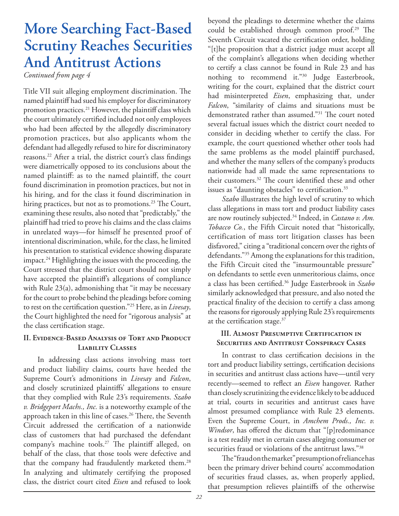# **More Searching Fact-Based Scrutiny Reaches Securities And Antitrust Actions**

*Continued from page 4*

Title VII suit alleging employment discrimination. The named plaintiff had sued his employer for discriminatory promotion practices.<sup>21</sup> However, the plaintiff class which the court ultimately certified included not only employees who had been affected by the allegedly discriminatory promotion practices, but also applicants whom the defendant had allegedly refused to hire for discriminatory reasons.<sup>22</sup> After a trial, the district court's class findings were diametrically opposed to its conclusions about the named plaintiff: as to the named plaintiff, the court found discrimination in promotion practices, but not in his hiring, and for the class it found discrimination in hiring practices, but not as to promotions.<sup>23</sup> The Court, examining these results, also noted that "predictably," the plaintiff had tried to prove his claims and the class claims in unrelated ways—for himself he presented proof of intentional discrimination, while, for the class, he limited his presentation to statistical evidence showing disparate impact.24 Highlighting the issues with the proceeding, the Court stressed that the district court should not simply have accepted the plaintiff's allegations of compliance with Rule 23(a), admonishing that "it may be necessary for the court to probe behind the pleadings before coming to rest on the certification question."<sup>25</sup> Here, as in *Livesay*, the Court highlighted the need for "rigorous analysis" at the class certification stage.

### **II. Evidence-Based Analysis of Tort and Product Liability Classes**

In addressing class actions involving mass tort and product liability claims, courts have heeded the Supreme Court's admonitions in *Livesay* and *Falcon*, and closely scrutinized plaintiffs' allegations to ensure that they complied with Rule 23's requirements. *Szabo v. Bridgeport Machs., Inc.* is a noteworthy example of the approach taken in this line of cases.<sup>26</sup> There, the Seventh Circuit addressed the certification of a nationwide class of customers that had purchased the defendant company's machine tools.<sup>27</sup> The plaintiff alleged, on behalf of the class, that those tools were defective and that the company had fraudulently marketed them.<sup>28</sup> In analyzing and ultimately certifying the proposed class, the district court cited *Eisen* and refused to look

beyond the pleadings to determine whether the claims could be established through common proof.<sup>29</sup> The Seventh Circuit vacated the certification order, holding "[t]he proposition that a district judge must accept all of the complaint's allegations when deciding whether to certify a class cannot be found in Rule 23 and has nothing to recommend it."30 Judge Easterbrook, writing for the court, explained that the district court had misinterpreted *Eisen*, emphasizing that, under *Falcon*, "similarity of claims and situations must be demonstrated rather than assumed."<sup>31</sup> The court noted several factual issues which the district court needed to consider in deciding whether to certify the class. For example, the court questioned whether other tools had the same problems as the model plaintiff purchased, and whether the many sellers of the company's products nationwide had all made the same representations to their customers. $32$  The court identified these and other issues as "daunting obstacles" to certification.<sup>33</sup>

*Szabo* illustrates the high level of scrutiny to which class allegations in mass tort and product liability cases are now routinely subjected.<sup>34</sup> Indeed, in *Castano v. Am*. *Tobacco Co.*, the Fifth Circuit noted that "historically, certification of mass tort litigation classes has been disfavored," citing a "traditional concern over the rights of defendants."35 Among the explanations for this tradition, the Fifth Circuit cited the "insurmountable pressure" on defendants to settle even unmeritorious claims, once a class has been certified.<sup>36</sup> Judge Easterbrook in *Szabo* similarly acknowledged that pressure, and also noted the practical finality of the decision to certify a class among the reasons for rigorously applying Rule 23's requirements at the certification stage. $37$ 

### **III. Almost Presumptive Certification in Securities and Antitrust Conspiracy Cases**

In contrast to class certification decisions in the tort and product liability settings, certification decisions in securities and antitrust class actions have—until very recently-seemed to reflect an *Eisen* hangover. Rather than closely scrutinizing the evidence likely to be adduced at trial, courts in securities and antitrust cases have almost presumed compliance with Rule 23 elements. Even the Supreme Court, in *Amchem Prods., Inc. v. Windsor*, has offered the dictum that "[p]redominance is a test readily met in certain cases alleging consumer or securities fraud or violations of the antitrust laws."38

The "fraud on the market" presumption of reliance has been the primary driver behind courts' accommodation of securities fraud classes, as, when properly applied, that presumption relieves plaintiffs of the otherwise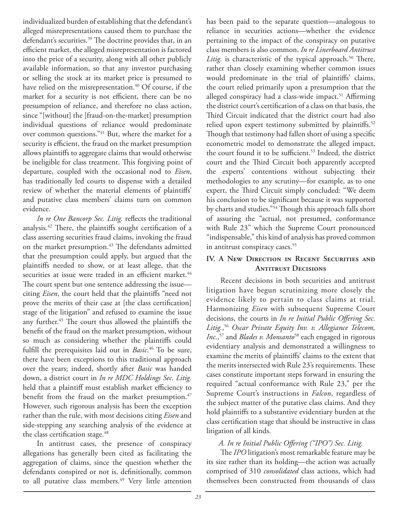individualized burden of establishing that the defendant's alleged misrepresentations caused them to purchase the defendant's securities.<sup>39</sup> The doctrine provides that, in an efficient market, the alleged misrepresentation is factored into the price of a security, along with all other publicly available information, so that any investor purchasing or selling the stock at its market price is presumed to have relied on the misrepresentation.<sup>40</sup> Of course, if the market for a security is not efficient, there can be no presumption of reliance, and therefore no class action, since "[without] the [fraud-on-the-market] presumption individual questions of reliance would predominate over common questions."41 But, where the market for a security is efficient, the fraud on the market presumption allows plaintiffs to aggregate claims that would otherwise be ineligible for class treatment. This forgiving point of departure, coupled with the occasional nod to *Eisen*, has traditionally led courts to dispense with a detailed review of whether the material elements of plaintiffs' and putative class members' claims turn on common evidence.

*In re One Bancorp Sec. Litig.* reflects the traditional analysis.<sup>42</sup> There, the plaintiffs sought certification of a class asserting securities fraud claims, invoking the fraud on the market presumption.<sup>43</sup> The defendants admitted that the presumption could apply, but argued that the plaintiffs needed to show, or at least allege, that the securities at issue were traded in an efficient market.<sup>44</sup> The court spent but one sentence addressing the issue citing *Eisen*, the court held that the plaintiffs "need not prove the merits of their case at [the class certification] stage of the litigation" and refused to examine the issue any further.<sup>45</sup> The court thus allowed the plaintiffs the benefit of the fraud on the market presumption, without so much as considering whether the plaintiffs could fulfill the prerequisites laid out in *Basic*.<sup>46</sup> To be sure, there have been exceptions to this traditional approach over the years; indeed, shortly after *Basic* was handed down, a district court in *In re MDC Holdings Sec. Litig.* held that a plaintiff must establish market efficiency to benefit from the fraud on the market presumption.<sup>47</sup> However, such rigorous analysis has been the exception rather than the rule, with most decisions citing *Eisen* and side-stepping any searching analysis of the evidence at the class certification stage.<sup>48</sup>

In antitrust cases, the presence of conspiracy allegations has generally been cited as facilitating the aggregation of claims, since the question whether the defendants conspired or not is, definitionally, common to all putative class members.<sup>49</sup> Very little attention

has been paid to the separate question—analogous to reliance in securities actions—whether the evidence pertaining to the impact of the conspiracy on putative class members is also common. *In re Linerboard Antitrust Litig.* is characteristic of the typical approach.<sup>50</sup> There, rather than closely examining whether common issues would predominate in the trial of plaintiffs' claims, the court relied primarily upon a presumption that the alleged conspiracy had a class-wide impact.<sup>51</sup> Affirming the district court's certification of a class on that basis, the Third Circuit indicated that the district court had also relied upon expert testimony submitted by plaintiffs.<sup>52</sup> Though that testimony had fallen short of using a specific econometric model to demonstrate the alleged impact, the court found it to be sufficient.<sup>53</sup> Indeed, the district court and the Third Circuit both apparently accepted the experts' contentions without subjecting their methodologies to any scrutiny—for example, as to one expert, the Third Circuit simply concluded: "We deem his conclusion to be significant because it was supported by charts and studies."<sup>54</sup> Though this approach falls short of assuring the "actual, not presumed, conformance with Rule 23" which the Supreme Court pronounced "indispensable," this kind of analysis has proved common in antitrust conspiracy cases.<sup>55</sup>

### **IV. A New Direction in Recent Securities and Antitrust Decisions**

Recent decisions in both securities and antitrust litigation have begun scrutinizing more closely the evidence likely to pertain to class claims at trial. Harmonizing *Eisen* with subsequent Supreme Court decisions, the courts in *In re Initial Public Offering Sec. Litig.*, <sup>56</sup> *Oscar Private Equity Inv. v. Allegiance Telecom, Inc.*, 57 and *Blades v. Monsanto*58 each engaged in rigorous evidentiary analysis and demonstrated a willingness to examine the merits of plaintiffs' claims to the extent that the merits intersected with Rule 23's requirements. These cases constitute important steps forward in ensuring the required "actual conformance with Rule 23," per the Supreme Court's instructions in *Falcon*, regardless of the subject matter of the putative class claims. And they hold plaintiffs to a substantive evidentiary burden at the class certification stage that should be instructive in class litigation of all kinds.

### A. In re Initial Public Offering ("IPO") Sec. Litig.

The *IPO* litigation's most remarkable feature may be its size rather than its holding—the action was actually comprised of 310 *consolidated* class actions, which had themselves been constructed from thousands of class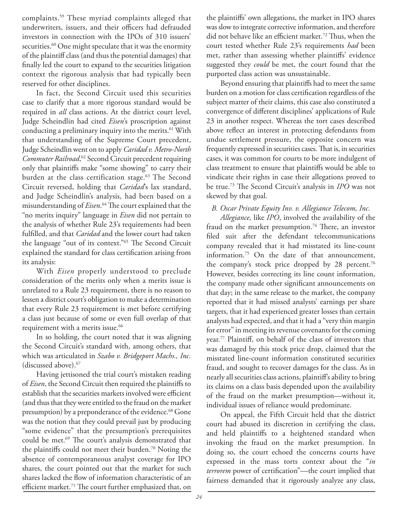complaints.59 These myriad complaints alleged that underwriters, issuers, and their officers had defrauded investors in connection with the IPOs of 310 issuers' securities.<sup>60</sup> One might speculate that it was the enormity of the plaintiff class (and thus the potential damages) that finally led the court to expand to the securities litigation context the rigorous analysis that had typically been reserved for other disciplines.

In fact, the Second Circuit used this securities case to clarify that a more rigorous standard would be required in *all* class actions. At the district court level, Judge Scheindlin had cited *Eisen*'s proscription against conducting a preliminary inquiry into the merits.<sup>61</sup> With that understanding of the Supreme Court precedent, Judge Scheindlin went on to apply *Caridad v. Metro-North Commuter Railroad*, 62 Second Circuit precedent requiring only that plaintiffs make "some showing" to carry their burden at the class certification stage.<sup>63</sup> The Second Circuit reversed, holding that *Caridad*'s lax standard, and Judge Scheindlin's analysis, had been based on a misunderstanding of *Eisen*.<sup>64</sup> The court explained that the "no merits inquiry" language in *Eisen* did not pertain to the analysis of whether Rule 23's requirements had been fulfilled, and that *Caridad* and the lower court had taken the language "out of its context."<sup>65</sup> The Second Circuit explained the standard for class certification arising from its analysis:

With *Eisen* properly understood to preclude consideration of the merits only when a merits issue is unrelated to a Rule 23 requirement, there is no reason to lessen a district court's obligation to make a determination that every Rule 23 requirement is met before certifying a class just because of some or even full overlap of that requirement with a merits issue.<sup>66</sup>

In so holding, the court noted that it was aligning the Second Circuit's standard with, among others, that which was articulated in *Szabo v. Bridgeport Machs., Inc.*  (discussed above).67

Having jettisoned the trial court's mistaken reading of *Eisen*, the Second Circuit then required the plaintiffs to establish that the securities markets involved were efficient (and thus that they were entitled to the fraud on the market presumption) by a preponderance of the evidence.<sup>68</sup> Gone was the notion that they could prevail just by producing "some evidence" that the presumption's prerequisites could be met.<sup>69</sup> The court's analysis demonstrated that the plaintiffs could not meet their burden.<sup>70</sup> Noting the absence of contemporaneous analyst coverage for IPO shares, the court pointed out that the market for such shares lacked the flow of information characteristic of an efficient market.<sup>71</sup> The court further emphasized that, on

the plaintiffs' own allegations, the market in IPO shares was slow to integrate corrective information, and therefore did not behave like an efficient market.<sup>72</sup> Thus, when the court tested whether Rule 23's requirements *had* been met, rather than assessing whether plaintiffs' evidence suggested they *could* be met, the court found that the purported class action was unsustainable.

Beyond ensuring that plaintiffs had to meet the same burden on a motion for class certification regardless of the subject matter of their claims, this case also constituted a convergence of different disciplines' applications of Rule 23 in another respect. Whereas the tort cases described above reflect an interest in protecting defendants from undue settlement pressure, the opposite concern was frequently expressed in securities cases. That is, in securities cases, it was common for courts to be more indulgent of class treatment to ensure that plaintiffs would be able to vindicate their rights in case their allegations proved to be true.<sup>73</sup> The Second Circuit's analysis in *IPO* was not skewed by that goal.

*B. Oscar Private Equity Inv. v. Allegiance Telecom, Inc.*

*Allegiance,* like *IPO*, involved the availability of the fraud on the market presumption.<sup>74</sup> There, an investor filed suit after the defendant telecommunications company revealed that it had misstated its line-count information.75 On the date of that announcement, the company's stock price dropped by 28 percent.<sup>76</sup> However, besides correcting its line count information, the company made other significant announcements on that day; in the same release to the market, the company reported that it had missed analysts' earnings per share targets, that it had experienced greater losses than certain analysts had expected, and that it had a "very thin margin for error" in meeting its revenue covenants for the coming year.<sup>77</sup> Plaintiff, on behalf of the class of investors that was damaged by this stock price drop, claimed that the misstated line-count information constituted securities fraud, and sought to recover damages for the class. As in nearly all securities class actions, plaintiff's ability to bring its claims on a class basis depended upon the availability of the fraud on the market presumption—without it, individual issues of reliance would predominate.

On appeal, the Fifth Circuit held that the district court had abused its discretion in certifying the class, and held plaintiffs to a heightened standard when invoking the fraud on the market presumption. In doing so, the court echoed the concerns courts have expressed in the mass torts context about the "*in terrorem* power of certification"-the court implied that fairness demanded that it rigorously analyze any class,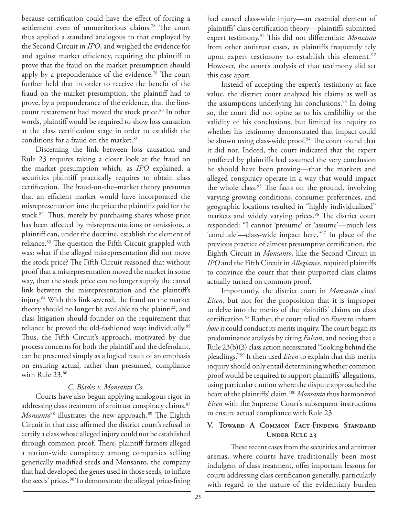because certification could have the effect of forcing a settlement even of unmeritorious claims.<sup>78</sup> The court thus applied a standard analogous to that employed by the Second Circuit in *IPO*, and weighed the evidence for and against market efficiency, requiring the plaintiff to prove that the fraud on the market presumption should apply by a preponderance of the evidence.<sup>79</sup> The court further held that in order to receive the benefit of the fraud on the market presumption, the plaintiff had to prove, by a preponderance of the evidence, that the linecount restatement had moved the stock price.<sup>80</sup> In other words, plaintiff would be required to show loss causation at the class certification stage in order to establish the conditions for a fraud on the market.<sup>81</sup>

Discerning the link between loss causation and Rule 23 requires taking a closer look at the fraud on the market presumption which, as *IPO* explained, a securities plaintiff practically requires to obtain class certification. The fraud-on-the–market theory presumes that an efficient market would have incorporated the misrepresentation into the price the plaintiffs paid for the stock.<sup>82</sup> Thus, merely by purchasing shares whose price has been affected by misrepresentations or omissions, a plaintiff can, under the doctrine, establish the element of reliance.<sup>83</sup> The question the Fifth Circuit grappled with was: what if the alleged misrepresentation did not move the stock price? The Fifth Circuit reasoned that without proof that a misrepresentation moved the market in some way, then the stock price can no longer supply the causal link between the misrepresentation and the plaintiff's injury.84 With this link severed, the fraud on the market theory should no longer be available to the plaintiff, and class litigation should founder on the requirement that reliance be proved the old-fashioned way: individually.<sup>85</sup> Thus, the Fifth Circuit's approach, motivated by due process concerns for both the plaintiff and the defendant, can be presented simply as a logical result of an emphasis on ensuring actual, rather than presumed, compliance with Rule 23.86

### *C. Blades v. Monsanto Co.*

Courts have also begun applying analogous rigor in addressing class treatment of antitrust conspiracy claims.<sup>87</sup> *Monsanto*<sup>88</sup> illustrates the new approach.<sup>89</sup> The Eighth Circuit in that case affirmed the district court's refusal to certify a class whose alleged injury could not be established through common proof. There, plaintiff farmers alleged a nation-wide conspiracy among companies selling genetically modified seeds and Monsanto, the company that had developed the genes used in those seeds, to inflate the seeds' prices.<sup>90</sup> To demonstrate the alleged price-fixing

had caused class-wide injury—an essential element of plaintiffs' class certification theory-plaintiffs submitted expert testimony.<sup>91</sup> This did not differentiate *Monsanto* from other antitrust cases, as plaintiffs frequently rely upon expert testimony to establish this element.<sup>92</sup> However, the court's analysis of that testimony did set this case apart.

Instead of accepting the expert's testimony at face value, the district court analyzed his claims as well as the assumptions underlying his conclusions.<sup>93</sup> In doing so, the court did not opine as to his credibility or the validity of his conclusions, but limited its inquiry to whether his testimony demonstrated that impact could be shown using class-wide proof.<sup>94</sup> The court found that it did not. Indeed, the court indicated that the expert proffered by plaintiffs had assumed the very conclusion he should have been proving—that the markets and alleged conspiracy operate in a way that would impact the whole class.<sup>95</sup> The facts on the ground, involving varying growing conditions, consumer preferences, and geographic locations resulted in "highly individualized" markets and widely varying prices.<sup>96</sup> The district court responded: "I cannot 'presume' or 'assume'—much less 'conclude'—class-wide impact here."97 In place of the previous practice of almost presumptive certification, the Eighth Circuit in *Monsanto*, like the Second Circuit in *IPO* and the Fifth Circuit in *Allegiance*, required plaintiffs to convince the court that their purported class claims actually turned on common proof.

Importantly, the district court in *Monsanto* cited *Eisen*, but not for the proposition that it is improper to delve into the merits of the plaintiffs' claims on class certification.<sup>98</sup> Rather, the court relied on *Eisen* to inform how it could conduct its merits inquiry. The court began its predominance analysis by citing *Falcon*, and noting that a Rule 23(b)(3) class action necessitated "looking behind the pleadings."99 It then used *Eisen* to explain that this merits inquiry should only entail determining whether common proof would be required to support plaintiffs' allegations, using particular caution where the dispute approached the heart of the plaintiffs' claim.<sup>100</sup> Monsanto thus harmonized *Eisen* with the Supreme Court's subsequent instructions to ensure actual compliance with Rule 23.

### **V. Toward A Common Fact-Finding Standard UNDER RULE 23**

These recent cases from the securities and antitrust arenas, where courts have traditionally been most indulgent of class treatment, offer important lessons for courts addressing class certification generally, particularly with regard to the nature of the evidentiary burden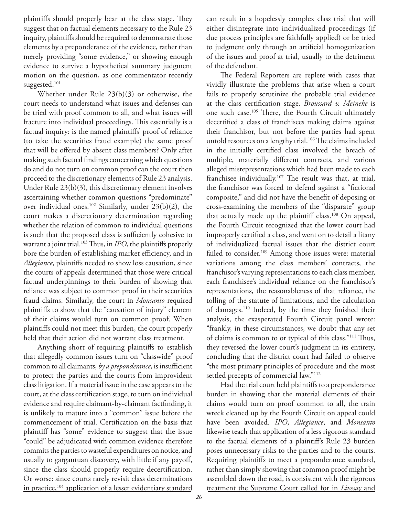plaintiffs should properly bear at the class stage. They suggest that on factual elements necessary to the Rule 23 inquiry, plaintiffs should be required to demonstrate those elements by a preponderance of the evidence, rather than merely providing "some evidence," or showing enough evidence to survive a hypothetical summary judgment motion on the question, as one commentator recently suggested.<sup>101</sup>

Whether under Rule 23(b)(3) or otherwise, the court needs to understand what issues and defenses can be tried with proof common to all, and what issues will fracture into individual proceedings. This essentially is a factual inquiry: is the named plaintiffs' proof of reliance (to take the securities fraud example) the same proof that will be offered by absent class members? Only after making such factual findings concerning which questions do and do not turn on common proof can the court then proceed to the discretionary elements of Rule 23 analysis. Under Rule 23(b)(3), this discretionary element involves ascertaining whether common questions "predominate" over individual ones.102 Similarly, under 23(b)(2), the court makes a discretionary determination regarding whether the relation of common to individual questions is such that the proposed class is sufficiently cohesive to warrant a joint trial.<sup>103</sup> Thus, in *IPO*, the plaintiffs properly bore the burden of establishing market efficiency, and in *Allegiance*, plaintiffs needed to show loss causation, since the courts of appeals determined that those were critical factual underpinnings to their burden of showing that reliance was subject to common proof in their securities fraud claims. Similarly, the court in *Monsanto* required plaintiffs to show that the "causation of injury" element of their claims would turn on common proof. When plaintiffs could not meet this burden, the court properly held that their action did not warrant class treatment.

Anything short of requiring plaintiffs to establish that allegedly common issues turn on "classwide" proof common to all claimants, by a preponderance, is insufficient to protect the parties and the courts from improvident class litigation. If a material issue in the case appears to the court, at the class certification stage, to turn on individual evidence and require claimant-by-claimant factfinding, it is unlikely to mature into a "common" issue before the commencement of trial. Certification on the basis that plaintiff has "some" evidence to suggest that the issue "could" be adjudicated with common evidence therefore commits the parties to wasteful expenditures on notice, and usually to gargantuan discovery, with little if any payoff, since the class should properly require decertification. Or worse: since courts rarely revisit class determinations in practice,104 application of a lesser evidentiary standard

can result in a hopelessly complex class trial that will either disintegrate into individualized proceedings (if due process principles are faithfully applied) or be tried to judgment only through an artificial homogenization of the issues and proof at trial, usually to the detriment of the defendant.

The Federal Reporters are replete with cases that vividly illustrate the problems that arise when a court fails to properly scrutinize the probable trial evidence at the class certification stage. *Broussard v. Meineke* is one such case.<sup>105</sup> There, the Fourth Circuit ultimately decertified a class of franchisees making claims against their franchisor, but not before the parties had spent untold resources on a lengthy trial.<sup>106</sup> The claims included in the initially certified class involved the breach of multiple, materially different contracts, and various alleged misrepresentations which had been made to each franchisee individually.<sup>107</sup> The result was that, at trial, the franchisor was forced to defend against a "fictional composite," and did not have the benefit of deposing or cross-examining the members of the "disparate" group that actually made up the plaintiff class.<sup>108</sup> On appeal, the Fourth Circuit recognized that the lower court had improperly certified a class, and went on to detail a litany of individualized factual issues that the district court failed to consider.<sup>109</sup> Among those issues were: material variations among the class members' contracts, the franchisor's varying representations to each class member, each franchisee's individual reliance on the franchisor's representations, the reasonableness of that reliance, the tolling of the statute of limitations, and the calculation of damages.<sup>110</sup> Indeed, by the time they finished their analysis, the exasperated Fourth Circuit panel wrote: "frankly, in these circumstances, we doubt that any set of claims is common to or typical of this class."<sup>111</sup> Thus, they reversed the lower court's judgment in its entirety, concluding that the district court had failed to observe "the most primary principles of procedure and the most settled precepts of commercial law."112

Had the trial court held plaintiffs to a preponderance burden in showing that the material elements of their claims would turn on proof common to all, the train wreck cleaned up by the Fourth Circuit on appeal could have been avoided. *IPO*, *Allegiance*, and *Monsanto* likewise teach that application of a less rigorous standard to the factual elements of a plaintiff's Rule 23 burden poses unnecessary risks to the parties and to the courts. Requiring plaintiffs to meet a preponderance standard, rather than simply showing that common proof might be assembled down the road, is consistent with the rigorous treatment the Supreme Court called for in *Livesay* and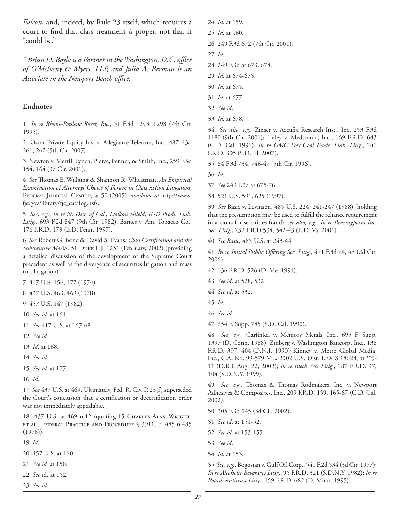*Falcon*, and, indeed, by Rule 23 itself, which requires a court to find that class treatment *is* proper, not that it "could be."

*\* Brian D. Boyle is a Partner in the Washington, D.C. offi ce of O'Melveny & Myers, LLP, and Julia A. Berman is an*  Associate in the Newport Beach office.

### **Endnotes**

1 *In re Rhone-Poulenc Rorer, Inc.*, 51 F.3d 1293, 1298 (7th Cir. 1995).

2 Oscar Private Equity Inv. v. Allegiance Telecom, Inc., 487 F.3d 261, 267 (5th Cir. 2007).

3 Newton v. Merrill Lynch, Pierce, Fenner, & Smith, Inc., 259 F.3d 154, 164 (3d Cir. 2001).

4 *See* Thomas E. Willging & Shannon R. Wheatman, *An Empirical Examination of Attorneys' Choice of Forum in Class Action Litigation*, Federal Judicial Center, at 50 (2005), *available at* http://www. fjc.gov/library/fjc\_catalog.nsf/.

5 *See, e.g., In re N. Dist. of Cal., Dalkon Shield*, *IUD Prods. Liab. Litig.*, 693 F.2d 847 (9th Cir. 1982); Barnes v. Am. Tobacco Co., 176 F.R.D. 479 (E.D. Penn. 1997).

6 *See* Robert G. Bone & David S. Evans, *Class Certifi cation and the Substantive Merits*, 51 Duke L.J. 1251 (February, 2002) (providing a detailed discussion of the development of the Supreme Court precedent as well as the divergence of securities litigation and mass tort litigation).

7 417 U.S. 156, 177 (1974).

8 437 U.S. 463, 469 (1978).

- 9 457 U.S. 147 (1982).
- 10 *See id.* at 161.
- 11 *See* 417 U.S. at 167-68.
- 12 *See id.*
- 13 *Id.* at 168.
- 14 *See id.*
- 15 *See id.* at 177.
- 16 *Id.*

17 *See* 437 U.S. at 469. Ultimately, Fed. R. Civ. P. 23(f) superseded the Court's conclusion that a certification or decertification order was not immediately appealable.

18 437 U.S. at 469 n.12 (quoting 15 Charles Alan Wright, et al., Federal Practice and Procedure § 3911, p. 485 n.485 (1976)).

19 *Id.*

- 20 457 U.S. at 160.
- 21 *See id.* at 150.
- 22 *See i*d. at 152.
- 23 *See id.*
- 24 *Id.* at 159.
- 25 *Id.* at 160.
- 26 249 F.3d 672 (7th Cir. 2001).
- 27 *Id.*
- 28 249 F.3d at 673, 678.
- 29 *Id.* at 674-675.
- 30 *Id.* at 675.
- 31 *Id.* at 677.
- 32 *See id.*
- 33 *Id.* at 678.

34 See also, e.g., Zinser v. Accufix Research Inst., Inc. 253 F.3d 1180 (9th Cir. 2001); Haley v. Medtronic, Inc., 169 F.R.D. 643 (C.D. Cal. 1996); *In re GMC Dex-Cool Prods. Liab. Litig.*, 241 F.R.D. 305 (S.D. Ill. 2007).

35 84 F.3d 734, 746-47 (5th Cir. 1996).

36 *Id.*

- 37 *See* 249 F.3d at 675-76.
- 38 521 U.S. 591, 625 (1997).

39 *See* Basic v. Levinson, 485 U.S. 224, 241-247 (1988) (holding that the presumption may be used to fulfill the reliance requirement in actions for securities fraud); *see also, e.g., In re Bearingpoint Inc. Sec. Litig.*, 232 F.R.D 534, 542-43 (E.D. Va. 2006).

40 *See Basic*, 485 U.S. at 243-44.

41 *In re Initial Public Offering Sec. Litig.*, 471 F.3d 24, 43 (2d Cir. 2006).

- 42 136 F.R.D. 526 (D. Me. 1991).
- 43 *See id.* at 528, 532.
- 44 *See id.* at 532.
- 45 *Id.*
- 46 *See id.*
- 47 754 F. Supp. 785 (S.D. Cal. 1990).

48 *See, e.g.*, Garfinkel v. Memory Metals, Inc., 695 F. Supp. 1397 (D. Conn. 1988); Zinberg v. Washington Bancorp, Inc., 138 F.R.D. 397, 404 (D.N.J. 1990); Kinney v. Metro Global Media, Inc., C.A. No. 99-579 ML, 2002 U.S. Dist. LEXIS 18628, at \*\*9- 11 (D.R.I. Aug. 22, 2002); *In re Blech Sec. Litig*., 187 F.R.D. 97, 104 (S.D.N.Y. 1999).

49 *See, e.g.*, Thomas & Thomas Rodmakers, Inc. v. Newport Adhesives & Composites, Inc., 209 F.R.D. 159, 165-67 (C.D. Cal. 2002).

- 50 305 F.3d 145 (3d Cir. 2002).
- 51 *See id.* at 151-52.
- 52 *See id.* at 153-155.
- 53 *See id.*
- 54 *Id.* at 153.

55 *See, e.g.,* Bogosian v. Gulf Oil Corp., 541 F.2d 534 (3d Cir. 1977); *In re Alcoholic Beverages Litig*., 95 F.R.D. 321 (S.D.N.Y. 1982); *In re Potash Antitrust Litig*., 159 F.R.D. 682 (D. Minn. 1995).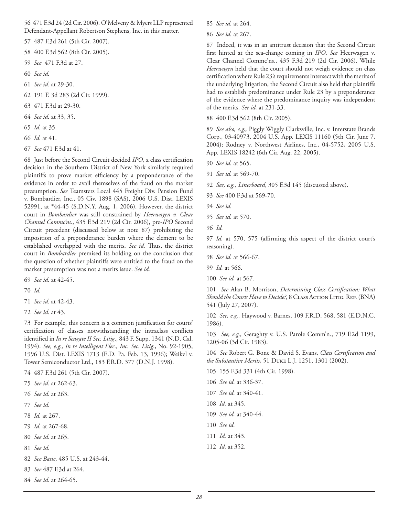56 471 F.3d 24 (2d Cir. 2006). O'Melveny & Myers LLP represented Defendant-Appellant Robertson Stephens, Inc. in this matter.

57 487 F.3d 261 (5th Cir. 2007).

58 400 F.3d 562 (8th Cir. 2005).

- 59 *See* 471 F.3d at 27.
- 60 *See id.*
- 61 *See id.* at 29-30.
- 62 191 F. 3d 283 (2d Cir. 1999).
- 63 471 F.3d at 29-30.
- 64 *See id.* at 33, 35.
- 65 *Id.* at 35.
- 66 *Id.* at 41.
- 67 *See* 471 F.3d at 41.

68 Just before the Second Circuit decided *IPO*, a class certification decision in the Southern District of New York similarly required plaintiffs to prove market efficiency by a preponderance of the evidence in order to avail themselves of the fraud on the market presumption. *See* Teamsters Local 445 Freight Div. Pension Fund v. Bombardier, Inc., 05 Civ. 1898 (SAS), 2006 U.S. Dist. LEXIS 52991, at \*44-45 (S.D.N.Y. Aug. 1, 2006). However, the district court in *Bombardier* was still constrained by *Heerwagen v. Clear Channel Commc'ns.*, 435 F.3d 219 (2d Cir. 2006), pre-*IPO* Second Circuit precedent (discussed below at note 87) prohibiting the imposition of a preponderance burden where the element to be established overlapped with the merits. See id. Thus, the district court in *Bombardier* premised its holding on the conclusion that the question of whether plaintiffs were entitled to the fraud on the market presumption was not a merits issue. *See id.*

- 69 *See id.* at 42-45.
- 70 *Id.*
- 71 *See id.* at 42-43.
- 72 *See id.* at 43.

73 For example, this concern is a common justification for courts' certification of classes notwithstanding the intraclass conflicts identified in *In re Seagate II Sec. Litig.*, 843 F. Supp. 1341 (N.D. Cal. 1994). *See, e.g., In re Intelligent Elec., Inc. Sec. Litig*., No. 92-1905, 1996 U.S. Dist. LEXIS 1713 (E.D. Pa. Feb. 13, 1996); Weikel v. Tower Semiconductor Ltd., 183 F.R.D. 377 (D.N.J. 1998).

74 487 F.3d 261 (5th Cir. 2007).

- 75 *See id.* at 262-63.
- 76 *See id.* at 263.
- 77 *See id.*
- 78 *Id.* at 267.
- 79 *Id.* at 267-68.
- 80 *See id.* at 265.
- 81 *See id.*
- 82 *See Basic*, 485 U.S. at 243-44.
- 83 *See* 487 F.3d at 264.
- 84 *See id.* at 264-65.

85 *See id.* at 264.

86 *See id.* at 267.

87 Indeed, it was in an antitrust decision that the Second Circuit first hinted at the sea-change coming in *IPO*. See Heerwagen v. Clear Channel Commc'ns., 435 F.3d 219 (2d Cir. 2006). While *Heerwagen* held that the court should not weigh evidence on class certification where Rule 23's requirements intersect with the merits of the underlying litigation, the Second Circuit also held that plaintiffs had to establish predominance under Rule 23 by a preponderance of the evidence where the predominance inquiry was independent of the merits. *See id.* at 231-33.

88 400 F.3d 562 (8th Cir. 2005).

89 *See also, e.g.,* Piggly Wiggly Clarksville, Inc. v. Interstate Brands Corp., 03-40973, 2004 U.S. App. LEXIS 11160 (5th Cir. June 7, 2004); Rodney v. Northwest Airlines, Inc., 04-5752, 2005 U.S. App. LEXIS 18242 (6th Cir. Aug. 22, 2005).

- 90 *See id.* at 565.
- 91 *See id.* at 569-70.
- 92 *See, e.g., Linerboard*, 305 F.3d 145 (discussed above).
- 93 *See* 400 F.3d at 569-70.
- 94 *See id.*
- 95 *See id.* at 570.
- 96 *Id.*

97 *Id.* at 570, 575 (affirming this aspect of the district court's reasoning).

- 98 *See id.* at 566-67.
- 99 *Id.* at 566.
- 100 *See id.* at 567.

101 See Alan B. Morrison, *Determining Class Certification: What* Should the Courts Have to Decide?, 8 CLASS ACTION LITIG. REP. (BNA) 541 (July 27, 2007).

102 *See, e.g.,* Haywood v. Barnes, 109 F.R.D. 568, 581 (E.D.N.C. 1986).

103 *See, e.g.,* Geraghty v. U.S. Parole Comm'n., 719 F.2d 1199, 1205-06 (3d Cir. 1983).

104 See Robert G. Bone & David S. Evans, *Class Certification and the Substantive Merits*, 51 Duke L.J. 1251, 1301 (2002).

- 105 155 F.3d 331 (4th Cir. 1998).
- 106 *See id.* at 336-37.
- 107 *See id.* at 340-41.
- 108 *Id.* at 345.
- 109 *See id.* at 340-44.
- 110 *See id.*
- 111 *Id.* at 343.
- 112 *Id.* at 352.